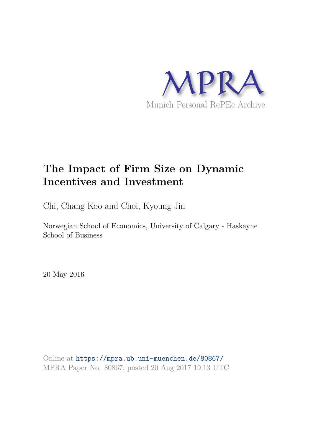

# **The Impact of Firm Size on Dynamic Incentives and Investment**

Chi, Chang Koo and Choi, Kyoung Jin

Norwegian School of Economics, University of Calgary - Haskayne School of Business

20 May 2016

Online at https://mpra.ub.uni-muenchen.de/80867/ MPRA Paper No. 80867, posted 20 Aug 2017 19:13 UTC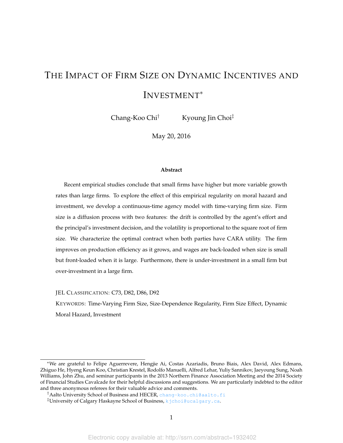# THE IMPACT OF FIRM SIZE ON DYNAMIC INCENTIVES AND INVESTMENT<sup>∗</sup>

Chang-Koo Chi† Kyoung Jin Choi‡

May 20, 2016

#### **Abstract**

Recent empirical studies conclude that small firms have higher but more variable growth rates than large firms. To explore the effect of this empirical regularity on moral hazard and investment, we develop a continuous-time agency model with time-varying firm size. Firm size is a diffusion process with two features: the drift is controlled by the agent's effort and the principal's investment decision, and the volatility is proportional to the square root of firm size. We characterize the optimal contract when both parties have CARA utility. The firm improves on production efficiency as it grows, and wages are back-loaded when size is small but front-loaded when it is large. Furthermore, there is under-investment in a small firm but over-investment in a large firm.

JEL CLASSIFICATION: C73, D82, D86, D92

KEYWORDS: Time-Varying Firm Size, Size-Dependence Regularity, Firm Size Effect, Dynamic Moral Hazard, Investment

<sup>∗</sup>We are grateful to Felipe Aguerrevere, Hengjie Ai, Costas Azariadis, Bruno Biais, Alex David, Alex Edmans, Zhiguo He, Hyeng Keun Koo, Christian Krestel, Rodolfo Manuelli, Alfred Lehar, Yuliy Sannikov, Jaeyoung Sung, Noah Williams, John Zhu, and seminar participants in the 2013 Northern Finance Association Meeting and the 2014 Society of Financial Studies Cavalcade for their helpful discussions and suggestions. We are particularly indebted to the editor and three anonymous referees for their valuable advice and comments.

<sup>&</sup>lt;sup>†</sup>Aalto University School of Business and HECER, chang-koo.chi@aalto.fi

<sup>‡</sup>University of Calgary Haskayne School of Business, kjchoi@ucalgary.ca.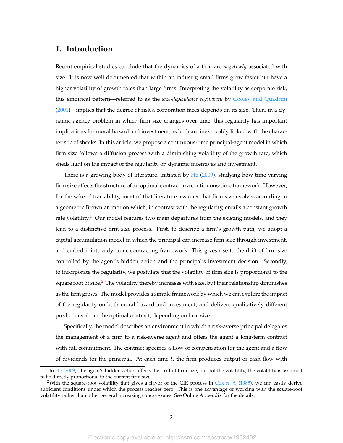## **1. Introduction**

Recent empirical studies conclude that the dynamics of a firm are *negatively* associated with size. It is now well documented that within an industry, small firms grow faster but have a higher volatility of growth rates than large firms. Interpreting the volatility as corporate risk, this empirical pattern—referred to as the *size-dependence regularity* by Cooley and Quadrini (2001)—implies that the degree of risk a corporation faces depends on its size. Then, in a dynamic agency problem in which firm size changes over time, this regularity has important implications for moral hazard and investment, as both are inextricably linked with the characteristic of shocks. In this article, we propose a continuous-time principal-agent model in which firm size follows a diffusion process with a diminishing volatility of the growth rate, which sheds light on the impact of the regularity on dynamic incentives and investment.

There is a growing body of literature, initiated by He (2009), studying how time-varying firm size affects the structure of an optimal contract in a continuous-time framework. However, for the sake of tractability, most of that literature assumes that firm size evolves according to a geometric Brownian motion which, in contrast with the regularity, entails a constant growth rate volatility.<sup>1</sup> Our model features two main departures from the existing models, and they lead to a distinctive firm size process. First, to describe a firm's growth path, we adopt a capital accumulation model in which the principal can increase firm size through investment, and embed it into a dynamic contracting framework. This gives rise to the drift of firm size controlled by the agent's hidden action and the principal's investment decision. Secondly, to incorporate the regularity, we postulate that the volatility of firm size is proportional to the square root of size.<sup>2</sup> The volatility thereby increases with size, but their relationship diminishes as the firm grows. The model provides a simple framework by which we can explore the impact of the regularity on both moral hazard and investment, and delivers qualitatively different predictions about the optimal contract, depending on firm size.

Specifically, the model describes an environment in which a risk-averse principal delegates the management of a firm to a risk-averse agent and offers the agent a long-term contract with full commitment. The contract specifies a flow of compensation for the agent and a flow of dividends for the principal. At each time *t*, the firm produces output or cash flow with

 $1$ In He (2009), the agent's hidden action affects the drift of firm size, but not the volatility; the volatility is assumed to be directly proportional to the current firm size.

<sup>2</sup>With the square-root volatility that gives a flavor of the CIR process in Cox *et al.* (1985), we can easily derive sufficient conditions under which the process reaches zero. This is one advantage of working with the square-root volatility rather than other general increasing concave ones. See Online Appendix for the details.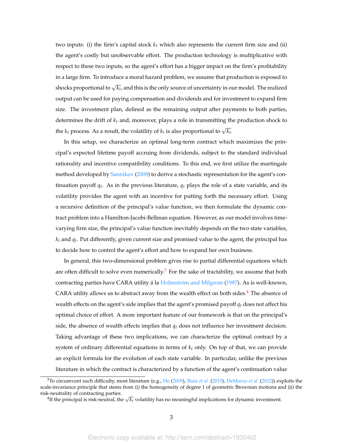two inputs: (i) the firm's capital stock  $k_t$  which also represents the current firm size and (ii) the agent's costly but unobservable effort. The production technology is multiplicative with respect to these two inputs, so the agent's effort has a bigger impact on the firm's profitability in a large firm. To introduce a moral hazard problem, we assume that production is exposed to shocks proportional to  $\sqrt{k_t}$ , and this is the only source of uncertainty in our model. The realized output can be used for paying compensation and dividends and for investment to expand firm size. The investment plan, defined as the remaining output after payments to both parties, determines the drift of *kt* and, moreover, plays a role in transmitting the production shock to the  $k_t$  process. As a result, the volatility of  $k_t$  is also proportional to  $\sqrt{k_t}$ .

In this setup, we characterize an optimal long-term contract which maximizes the principal's expected lifetime payoff accruing from dividends, subject to the standard individual rationality and incentive compatibility conditions. To this end, we first utilize the martingale method developed by Sannikov (2008) to derive a stochastic representation for the agent's continuation payoff *qt* . As in the previous literature, *qt* plays the role of a state variable, and its volatility provides the agent with an incentive for putting forth the necessary effort. Using a recursive definition of the principal's value function, we then formulate the dynamic contract problem into a Hamilton-Jacobi-Bellman equation. However, as our model involves timevarying firm size, the principal's value function inevitably depends on the two state variables, *kt* and *qt* . Put differently, given current size and promised value to the agent, the principal has to decide how to control the agent's effort and how to expand her own business.

In general, this two-dimensional problem gives rise to partial differential equations which are often difficult to solve even numerically.<sup>3</sup> For the sake of tractability, we assume that both contracting parties have CARA utility á la Holmström and Milgrom (1987). As is well-known, CARA utility allows us to abstract away from the wealth effect on both sides. $4$  The absence of wealth effects on the agent's side implies that the agent's promised payoff *qt* does not affect his optimal choice of effort. A more important feature of our framework is that on the principal's side, the absence of wealth effects implies that  $q_t$  does not influence her investment decision. Taking advantage of these two implications, we can characterize the optimal contract by a system of ordinary differential equations in terms of  $k_t$  only. On top of that, we can provide an explicit formula for the evolution of each state variable. In particular, unlike the previous literature in which the contract is characterized by a function of the agent's continuation value

<sup>3</sup>To circumvent such difficulty, most literature (e.g., He (2009), Biais *et al.* (2010), DeMarzo *et al.* (2012)) exploits the scale-invariance principle that stems from (i) the homogeneity of degree 1 of geometric Brownian motions and (ii) the risk-neutrality of contracting parties.

 $^{4}$ If the principal is risk-neutral, the  $\sqrt{k_t}$  volatility has no meaningful implications for dynamic investment.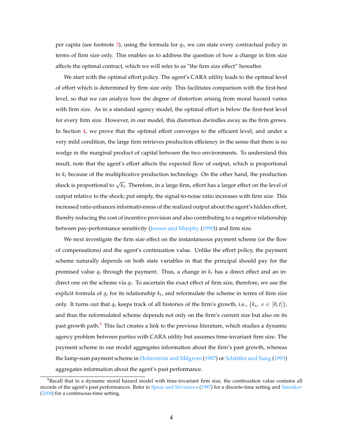per capita (see footnote 3), using the formula for *qt* , we can state every contractual policy in terms of firm size only. This enables us to address the question of how a change in firm size affects the optimal contract, which we will refer to as "the firm size effect" hereafter.

We start with the optimal effort policy. The agent's CARA utility leads to the optimal level of effort which is determined by firm size only. This facilitates comparison with the first-best level, so that we can analyze how the degree of distortion arising from moral hazard varies with firm size. As in a standard agency model, the optimal effort is below the first-best level for every firm size. However, in our model, this distortion dwindles away as the firm grows. In Section 4, we prove that the optimal effort converges to the efficient level, and under a very mild condition, the large firm retrieves production efficiency in the sense that there is no wedge in the marginal product of capital between the two environments. To understand this result, note that the agent's effort affects the expected flow of output, which is proportional to  $k_t$  because of the multiplicative production technology. On the other hand, the production shock is proportional to  $\sqrt{k_t}$ . Therefore, in a large firm, effort has a larger effect on the level of output relative to the shock; put simply, the signal-to-noise ratio increases with firm size. This increased ratio enhances informativeness of the realized output about the agent's hidden effort, thereby reducing the cost of incentive provision and also contributing to a negative relationship between pay-performance sensitivity (Jensen and Murphy (1990)) and firm size.

We next investigate the firm size effect on the instantaneous payment scheme (or the flow of compensations) and the agent's continuation value. Unlike the effort policy, the payment scheme naturally depends on both state variables in that the principal should pay for the promised value  $q_t$  through the payment. Thus, a change in  $k_t$  has a direct effect and an indirect one on the scheme via *qt* . To ascertain the exact effect of firm size, therefore, we use the explicit formula of *qt* for its relationship *kt* , and reformulate the scheme in terms of firm size only. It turns out that  $q_t$  keeps track of all histories of the firm's growth, i.e.,  $\{k_s, s \in [0,t]\}$ , and thus the reformulated scheme depends not only on the firm's current size but also on its past growth path.<sup>5</sup> This fact creates a link to the previous literature, which studies a dynamic agency problem between parties with CARA utility but assumes time-invariant firm size. The payment scheme in our model aggregates information about the firm's past growth, whereas the lump-sum payment scheme in Holmström and Milgrom (1987) or Schättler and Sung (1993) aggregates information about the agent's past performance.

 $5$ Recall that in a dynamic moral hazard model with time-invariant firm size, the continuation value contains all records of the agent's past performances. Refer to Spear and Srivastava (1987) for a discrete-time setting and Sannikov (2008) for a continuous-time setting.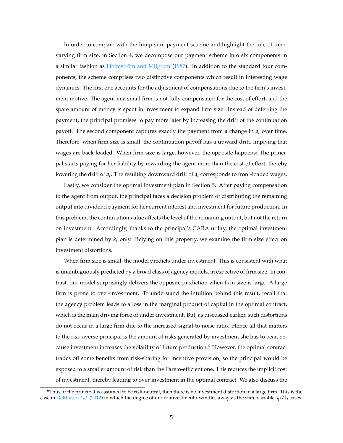In order to compare with the lump-sum payment scheme and highlight the role of timevarying firm size, in Section 4, we decompose our payment scheme into six components in a similar fashion as Holmström and Milgrom (1987). In addition to the standard four components, the scheme comprises two distinctive components which result in interesting wage dynamics. The first one accounts for the adjustment of compensations due to the firm's investment motive. The agent in a small firm is not fully compensated for the cost of effort, and the spare amount of money is spent in investment to expand firm size. Instead of deferring the payment, the principal promises to pay more later by increasing the drift of the continuation payoff. The second component captures exactly the payment from a change in *qt* over time. Therefore, when firm size is small, the continuation payoff has a upward drift, implying that wages are back-loaded. When firm size is large, however, the opposite happens: The principal starts paying for her liability by rewarding the agent more than the cost of effort, thereby lowering the drift of *qt* . The resulting downward drift of *qt* corresponds to front-loaded wages.

Lastly, we consider the optimal investment plan in Section 5. After paying compensation to the agent from output, the principal faces a decision problem of distributing the remaining output into dividend payment for her current interest and investment for future production. In this problem, the continuation value affects the level of the remaining output, but not the return on investment. Accordingly, thanks to the principal's CARA utility, the optimal investment plan is determined by *kt* only. Relying on this property, we examine the firm size effect on investment distortions.

When firm size is small, the model predicts under-investment. This is consistent with what is unambiguously predicted by a broad class of agency models, irrespective of firm size. In contrast, our model surprisingly delivers the opposite prediction when firm size is large: A large firm is prone to over-investment. To understand the intuition behind this result, recall that the agency problem leads to a loss in the marginal product of capital in the optimal contract, which is the main driving force of under-investment. But, as discussed earlier, such distortions do not occur in a large firm due to the increased signal-to-noise ratio. Hence all that matters to the risk-averse principal is the amount of risks generated by investment she has to bear, because investment increases the volatility of future production.<sup>6</sup> However, the optimal contract trades off some benefits from risk-sharing for incentive provision, so the principal would be exposed to a smaller amount of risk than the Pareto-efficient one. This reduces the implicit cost of investment, thereby leading to over-investment in the optimal contract. We also discuss the

 $6$ Thus, if the principal is assumed to be risk-neutral, then there is no investment distortion in a large firm. This is the case in DeMarzo *et al.* (2012) in which the degree of under-investment dwindles away as the state variable, *qt*/*kt* , rises.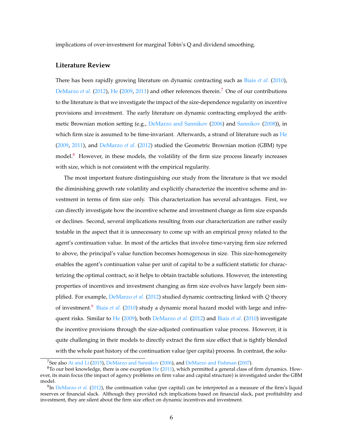implications of over-investment for marginal Tobin's Q and dividend smoothing.

#### **Literature Review**

There has been rapidly growing literature on dynamic contracting such as Biais *et al.* (2010), DeMarzo *et al.* (2012), He (2009, 2011) and other references therein.<sup>7</sup> One of our contributions to the literature is that we investigate the impact of the size-dependence regularity on incentive provisions and investment. The early literature on dynamic contracting employed the arithmetic Brownian motion setting (e.g., DeMarzo and Sannikov (2006) and Sannikov (2008)), in which firm size is assumed to be time-invariant. Afterwards, a strand of literature such as He (2009, 2011), and DeMarzo *et al.* (2012) studied the Geometric Brownian motion (GBM) type model. $8$  However, in these models, the volatility of the firm size process linearly increases with size, which is not consistent with the empirical regularity.

The most important feature distinguishing our study from the literature is that we model the diminishing growth rate volatility and explicitly characterize the incentive scheme and investment in terms of firm size only. This characterization has several advantages. First, we can directly investigate how the incentive scheme and investment change as firm size expands or declines. Second, several implications resulting from our characterization are rather easily testable in the aspect that it is unnecessary to come up with an empirical proxy related to the agent's continuation value. In most of the articles that involve time-varying firm size referred to above, the principal's value function becomes homogenous in size. This size-homogeneity enables the agent's continuation value per unit of capital to be a sufficient statistic for characterizing the optimal contract, so it helps to obtain tractable solutions. However, the interesting properties of incentives and investment changing as firm size evolves have largely been simplified. For example, DeMarzo *et al.* (2012) studied dynamic contracting linked with *Q* theory of investment.<sup>9</sup> Biais *et al.* (2010) study a dynamic moral hazard model with large and infrequent risks. Similar to He (2009), both DeMarzo *et al.* (2012) and Biais *et al.* (2010) investigate the incentive provisions through the size-adjusted continuation value process. However, it is quite challenging in their models to directly extract the firm size effect that is tightly blended with the whole past history of the continuation value (per capita) process. In contrast, the solu-

<sup>7</sup>See also Ai and Li (2015), DeMarzo and Sannikov (2006), and DeMarzo and Fishman (2007).

 $8$ To our best knowledge, there is one exception  $He$  (2011), which permitted a general class of firm dynamics. However, its main focus (the impact of agency problems on firm value and capital structure) is investigated under the GBM model.

<sup>&</sup>lt;sup>9</sup>In DeMarzo *et al.* (2012), the continuation value (per capital) can be interpreted as a measure of the firm's liquid reserves or financial slack. Although they provided rich implications based on financial slack, past profitability and investment, they are silent about the firm size effect on dynamic incentives and investment.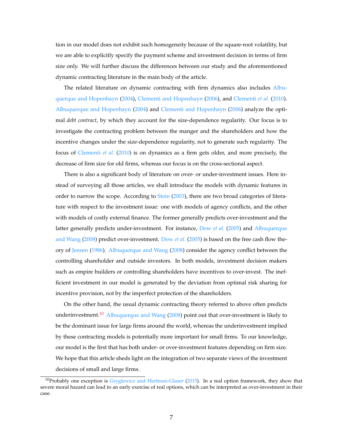tion in our model does not exhibit such homogeneity because of the square-root volatility, but we are able to explicitly specify the payment scheme and investment decision in terms of firm size only. We will further discuss the differences between our study and the aforementioned dynamic contracting literature in the main body of the article.

The related literature on dynamic contracting with firm dynamics also includes Albuquerque and Hopenhayn (2004), Clementi and Hopenhayn (2006), and Clementi *et al.* (2010). Albuquerque and Hopenhayn (2004) and Clementi and Hopenhayn (2006) analyze the optimal *debt contract*, by which they account for the size-dependence regularity. Our focus is to investigate the contracting problem between the manger and the shareholders and how the incentive changes under the size-dependence regularity, not to generate such regularity. The focus of Clementi *et al.* (2010) is on dynamics as a firm gets older, and more precisely, the decrease of firm size for old firms, whereas our focus is on the cross-sectional aspect.

There is also a significant body of literature on over- or under-investment issues. Here instead of surveying all those articles, we shall introduce the models with dynamic features in order to narrow the scope. According to Stein (2003), there are two broad categories of literature with respect to the investment issue: one with models of agency conflicts, and the other with models of costly external finance. The former generally predicts over-investment and the latter generally predicts under-investment. For instance, Dow *et al.* (2005) and Albuquerque and Wang (2008) predict over-investment. Dow *et al.* (2005) is based on the free cash flow theory of Jensen (1986). Albuquerque and Wang (2008) consider the agency conflict between the controlling shareholder and outside investors. In both models, investment decision makers such as empire builders or controlling shareholders have incentives to over-invest. The inefficient investment in our model is generated by the deviation from optimal risk sharing for incentive provision, not by the imperfect protection of the shareholders.

On the other hand, the usual dynamic contracting theory referred to above often predicts underinvestment.<sup>10</sup> Albuquerque and Wang  $(2008)$  point out that over-investment is likely to be the dominant issue for large firms around the world, whereas the underinvestment implied by these contracting models is potentially more important for small firms. To our knowledge, our model is the first that has both under- or over-investment features depending on firm size. We hope that this article sheds light on the integration of two separate views of the investment decisions of small and large firms.

<sup>&</sup>lt;sup>10</sup>Probably one exception is  $Gryglewicz$  and Hartman-Glaser (2015). In a real option framework, they show that severe moral hazard can lead to an early exercise of real options, which can be interpreted as over-investment in their case.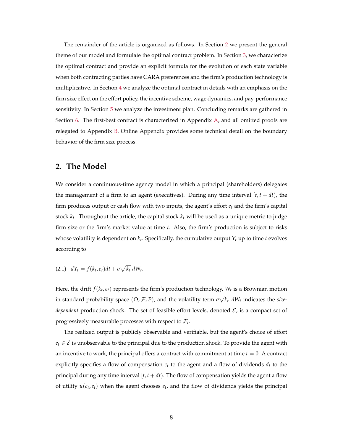The remainder of the article is organized as follows. In Section 2 we present the general theme of our model and formulate the optimal contract problem. In Section 3, we characterize the optimal contract and provide an explicit formula for the evolution of each state variable when both contracting parties have CARA preferences and the firm's production technology is multiplicative. In Section  $4$  we analyze the optimal contract in details with an emphasis on the firm size effect on the effort policy, the incentive scheme, wage dynamics, and pay-performance sensitivity. In Section 5 we analyze the investment plan. Concluding remarks are gathered in Section 6. The first-best contract is characterized in Appendix A, and all omitted proofs are relegated to Appendix B. Online Appendix provides some technical detail on the boundary behavior of the firm size process.

## **2. The Model**

We consider a continuous-time agency model in which a principal (shareholders) delegates the management of a firm to an agent (executives). During any time interval  $[t, t + dt)$ , the firm produces output or cash flow with two inputs, the agent's effort *et* and the firm's capital stock *kt* . Throughout the article, the capital stock *kt* will be used as a unique metric to judge firm size or the firm's market value at time *t*. Also, the firm's production is subject to risks whose volatility is dependent on *kt* . Specifically, the cumulative output *Yt* up to time *t* evolves according to

$$
(2.1) \t dY_t = f(k_t, e_t)dt + \sigma \sqrt{k_t} dW_t.
$$

Here, the drift  $f(k_t, e_t)$  represents the firm's production technology,  $W_t$  is a Brownian motion in standard probability space  $(\Omega, \mathcal{F}, P)$ , and the volatility term  $\sigma \sqrt{k_t}$  *dW<sub>t</sub>* indicates the *sizedependent* production shock. The set of feasible effort levels, denoted  $\mathcal{E}$ , is a compact set of progressively measurable processes with respect to  $\mathcal{F}_t$ .

The realized output is publicly observable and verifiable, but the agent's choice of effort  $e_t \in \mathcal{E}$  is unobservable to the principal due to the production shock. To provide the agent with an incentive to work, the principal offers a contract with commitment at time  $t = 0$ . A contract explicitly specifies a flow of compensation  $c_t$  to the agent and a flow of dividends  $d_t$  to the principal during any time interval  $[t, t + dt)$ . The flow of compensation yields the agent a flow of utility  $u(c_t, e_t)$  when the agent chooses  $e_t$ , and the flow of dividends yields the principal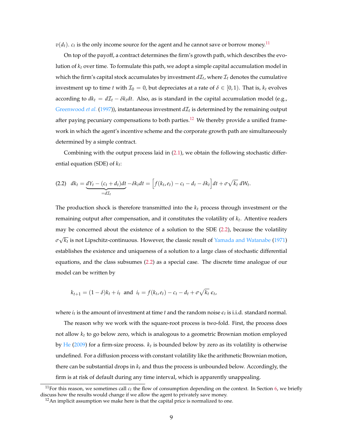$v(d_t)$ .  $c_t$  is the only income source for the agent and he cannot save or borrow money.<sup>11</sup>

On top of the payoff, a contract determines the firm's growth path, which describes the evolution of *kt* over time. To formulate this path, we adopt a simple capital accumulation model in which the firm's capital stock accumulates by investment  $d\mathcal{I}_t$ , where  $\mathcal{I}_t$  denotes the cumulative investment up to time *t* with  $\mathcal{I}_0 = 0$ , but depreciates at a rate of  $\delta \in [0,1]$ . That is,  $k_t$  evolves according to  $dk_t = d\mathcal{I}_t - \delta k_t dt$ . Also, as is standard in the capital accumulation model (e.g., Greenwood *et al.* (1997)), instantaneous investment  $d\mathcal{I}_t$  is determined by the remaining output after paying pecuniary compensations to both parties.<sup>12</sup> We thereby provide a unified framework in which the agent's incentive scheme and the corporate growth path are simultaneously determined by a simple contract.

Combining with the output process laid in (2.1), we obtain the following stochastic differential equation (SDE) of *kt* :

$$
(2.2) \quad dk_t = \underbrace{dY_t - (c_t + d_t)dt}_{=d\mathcal{I}_t} - \delta k_t dt = \Big[ f(k_t, e_t) - c_t - d_t - \delta k_t \Big] dt + \sigma \sqrt{k_t} \ dW_t.
$$

The production shock is therefore transmitted into the *kt* process through investment or the remaining output after compensation, and it constitutes the volatility of *kt* . Attentive readers may be concerned about the existence of a solution to the SDE (2.2), because the volatility *σ* √ *kt* is not Lipschitz-continuous. However, the classic result of Yamada and Watanabe (1971) establishes the existence and uniqueness of a solution to a large class of stochastic differential equations, and the class subsumes (2.2) as a special case. The discrete time analogue of our model can be written by

$$
k_{t+1} = (1 - \delta)k_t + i_t \text{ and } i_t = f(k_t, e_t) - c_t - d_t + \sigma \sqrt{k_t} \epsilon_t,
$$

where  $i_t$  is the amount of investment at time  $t$  and the random noise  $\epsilon_t$  is i.i.d. standard normal.

The reason why we work with the square-root process is two-fold. First, the process does not allow *kt* to go below zero, which is analogous to a geometric Brownian motion employed by He (2009) for a firm-size process. *kt* is bounded below by zero as its volatility is otherwise undefined. For a diffusion process with constant volatility like the arithmetic Brownian motion, there can be substantial drops in  $k_t$  and thus the process is unbounded below. Accordingly, the firm is at risk of default during any time interval, which is apparently unappealing.

<sup>&</sup>lt;sup>11</sup>For this reason, we sometimes call  $c_t$  the flow of consumption depending on the context. In Section 6, we briefly discuss how the results would change if we allow the agent to privately save money.

 $12$ An implicit assumption we make here is that the capital price is normalized to one.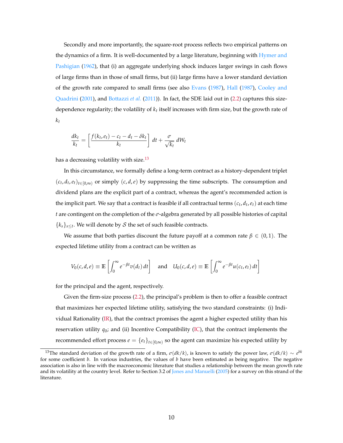Secondly and more importantly, the square-root process reflects two empirical patterns on the dynamics of a firm. It is well-documented by a large literature, beginning with Hymer and Pashigian (1962), that (i) an aggregate underlying shock induces larger swings in cash flows of large firms than in those of small firms, but (ii) large firms have a lower standard deviation of the growth rate compared to small firms (see also Evans (1987), Hall (1987), Cooley and Quadrini (2001), and Bottazzi *et al.* (2011)). In fact, the SDE laid out in (2.2) captures this sizedependence regularity; the volatility of  $k_t$  itself increases with firm size, but the growth rate of *kt*

$$
\frac{dk_t}{k_t} = \left[\frac{f(k_t, e_t) - c_t - d_t - \delta k_t}{k_t}\right] dt + \frac{\sigma}{\sqrt{k_t}} dW_t
$$

has a decreasing volatility with size.<sup>13</sup>

In this circumstance, we formally define a long-term contract as a history-dependent triplet  $(c_t, d_t, e_t)_{t \in [0,\infty)}$  or simply  $(c, d, e)$  by suppressing the time subscripts. The consumption and dividend plans are the explicit part of a contract, whereas the agent's recommended action is the implicit part. We say that a contract is feasible if all contractual terms  $(c_t, d_t, e_t)$  at each time *t* are contingent on the completion of the *σ*-algebra generated by all possible histories of capital  $\{k_s\}_{s\leq t}$ . We will denote by S the set of such feasible contracts.

We assume that both parties discount the future payoff at a common rate  $\beta \in (0,1)$ . The expected lifetime utility from a contract can be written as

$$
V_0(c,d,e) \equiv \mathbb{E}\left[\int_0^{\infty} e^{-\beta t} v(d_t) dt\right] \text{ and } U_0(c,d,e) \equiv \mathbb{E}\left[\int_0^{\infty} e^{-\beta t} u(c_t,e_t) dt\right]
$$

for the principal and the agent, respectively.

Given the firm-size process (2.2), the principal's problem is then to offer a feasible contract that maximizes her expected lifetime utility, satisfying the two standard constraints: (i) Individual Rationality (IR), that the contract promises the agent a higher expected utility than his reservation utility  $q_0$ ; and (ii) Incentive Compatibility (IC), that the contract implements the recommended effort process  $e = \{e_t\}_{t \in [0,\infty)}$  so the agent can maximize his expected utility by

<sup>&</sup>lt;sup>13</sup>The standard deviation of the growth rate of a firm,  $\sigma(dk/k)$ , is known to satisfy the power law,  $\sigma(dk/k) \sim e^{bk}$ for some coefficient *b*. In various industries, the values of *b* have been estimated as being negative. The negative association is also in line with the macroeconomic literature that studies a relationship between the mean growth rate and its volatility at the country level. Refer to Section 3.2 of Jones and Manuelli (2005) for a survey on this strand of the literature.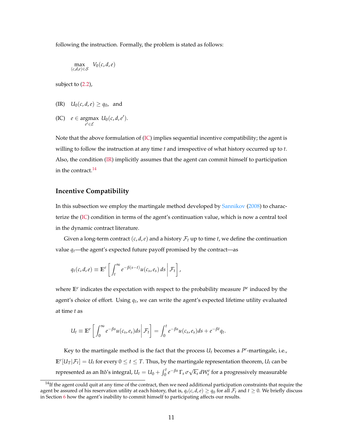following the instruction. Formally, the problem is stated as follows:

$$
\max_{(c,d,e)\in\mathcal{S}}\ V_0(c,d,e)
$$

subject to (2.2),

$$
(IR) \tU_0(c,d,e) \ge q_0, \text{ and}
$$

 $e \in \underset{e' \in \mathcal{E}}{\operatorname{argmax}}$  $\ell \in \text{argmax} \ U_0(c, d, e').$ 

Note that the above formulation of (IC) implies sequential incentive compatibility; the agent is willing to follow the instruction at any time *t* and irrespective of what history occurred up to *t*. Also, the condition (IR) implicitly assumes that the agent can commit himself to participation in the contract. $14$ 

#### **Incentive Compatibility**

In this subsection we employ the martingale method developed by Sannikov (2008) to characterize the (IC) condition in terms of the agent's continuation value, which is now a central tool in the dynamic contract literature.

Given a long-term contract  $(c, d, e)$  and a history  $\mathcal{F}_t$  up to time *t*, we define the continuation value  $q_t$ —the agent's expected future payoff promised by the contract—as

$$
q_t(c,d,e) \equiv \mathbb{E}^e \left[ \int_t^{\infty} e^{-\beta(s-t)} u(c_s,e_s) ds \middle| \mathcal{F}_t \right],
$$

where  $\mathbb{E}^e$  indicates the expectation with respect to the probability measure  $P^e$  induced by the agent's choice of effort. Using *qt* , we can write the agent's expected lifetime utility evaluated at time *t* as

$$
U_t \equiv \mathbb{E}^e \left[ \int_0^\infty e^{-\beta s} u(c_s, e_s) ds \middle| \mathcal{F}_t \right] = \int_0^t e^{-\beta s} u(c_s, e_s) ds + e^{-\beta t} q_t.
$$

Key to the martingale method is the fact that the process  $U_t$  becomes a  $P^e$ -martingale, i.e.,  $\mathbb{E}^e[U_T|\mathcal{F}_t] = U_t$  for every  $0 \le t \le T$ . Thus, by the martingale representation theorem,  $U_t$  can be represented as an Itô's integral,  $U_t=U_0+\int_0^te^{-\beta s}\,\Gamma_s\,\sigma\sqrt{k_s}\,dW_s^\varrho$  for a progressively measurable

 $14$ If the agent could quit at any time of the contract, then we need additional participation constraints that require the agent be assured of his reservation utility at each history, that is,  $q_t(c, d, e) \geq q_0$  for all  $\mathcal{F}_t$  and  $t \geq 0$ . We briefly discuss in Section 6 how the agent's inability to commit himself to participating affects our results.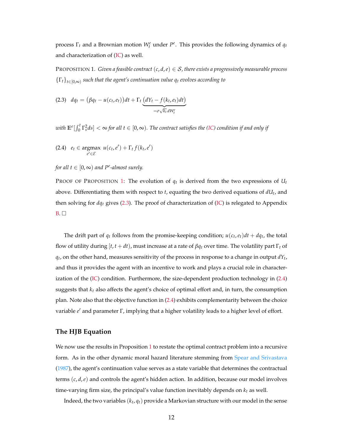process  $\Gamma_t$  and a Brownian motion  $W_t^e$  under  $P^e$ . This provides the following dynamics of  $q_t$ and characterization of  $(IC)$  as well.

PROPOSITION 1. *Given a feasible contract*  $(c, d, e) \in S$ , there exists a progressively measurable process {Γ*t*}*t*∈[0,∞) *such that the agent's continuation value qt evolves according to*

(2.3) 
$$
dq_t = (\beta q_t - u(c_t, e_t))dt + \Gamma_t \underbrace{(dY_t - f(k_t, e_t)dt)}_{=\sigma\sqrt{k_t}dW_t^e}
$$

with  $\mathbb{E}^e[\int_0^t \Gamma_s^2 ds] < \infty$  for all  $t \in [0, \infty)$ . The contract satisfies the (IC) condition if and only if

$$
(2.4) \quad e_t \in \underset{e' \in \mathcal{E}}{\operatorname{argmax}} \ \ u(c_t, e') + \Gamma_t \, f(k_t, e')
$$

*for all*  $t \in [0, \infty)$  *and*  $P^e$ -almost surely.

PROOF OF PROPOSITION 1: The evolution of  $q_t$  is derived from the two expressions of  $U_t$ above. Differentiating them with respect to *t*, equating the two derived equations of *dUt* , and then solving for *dqt* gives (2.3). The proof of characterization of (IC) is relegated to Appendix  $B.$ 

The drift part of  $q_t$  follows from the promise-keeping condition;  $u(c_t, e_t)dt + dq_t$ , the total flow of utility during  $[t, t + dt)$ , must increase at a rate of  $\beta q_t$  over time. The volatility part  $\Gamma_t$  of *qt* , on the other hand, measures sensitivity of the process in response to a change in output *dYt* , and thus it provides the agent with an incentive to work and plays a crucial role in characterization of the  $(IC)$  condition. Furthermore, the size-dependent production technology in  $(2.4)$ suggests that  $k_t$  also affects the agent's choice of optimal effort and, in turn, the consumption plan. Note also that the objective function in (2.4) exhibits complementarity between the choice variable *e* ′ and parameter Γ, implying that a higher volatility leads to a higher level of effort.

## **The HJB Equation**

We now use the results in Proposition 1 to restate the optimal contract problem into a recursive form. As in the other dynamic moral hazard literature stemming from Spear and Srivastava (1987), the agent's continuation value serves as a state variable that determines the contractual terms  $(c, d, e)$  and controls the agent's hidden action. In addition, because our model involves time-varying firm size, the principal's value function inevitably depends on *kt* as well.

Indeed, the two variables (*k<sup>t</sup>* , *qt*) provide a Markovian structure with our model in the sense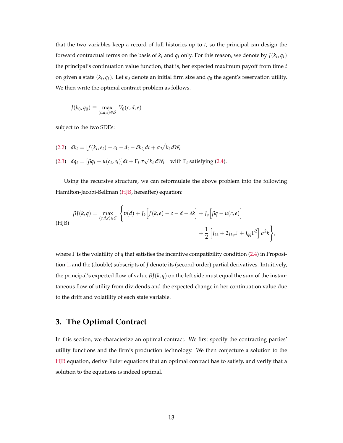that the two variables keep a record of full histories up to *t*, so the principal can design the forward contractual terms on the basis of  $k_t$  and  $q_t$  only. For this reason, we denote by  $J(k_t, q_t)$ the principal's continuation value function, that is, her expected maximum payoff from time *t* on given a state  $(k_t, q_t)$ . Let  $k_0$  denote an initial firm size and  $q_0$  the agent's reservation utility. We then write the optimal contract problem as follows.

$$
J(k_0, q_0) \equiv \max_{(c,d,e) \in \mathcal{S}} V_0(c,d,e)
$$

subject to the two SDEs:

(2.2) 
$$
dk_t = [f(k_t, e_t) - c_t - d_t - \delta k_t]dt + \sigma \sqrt{k_t} dW_t
$$
  
(2.3) 
$$
dq_t = [\beta q_t - u(c_t, e_t)]dt + \Gamma_t \sigma \sqrt{k_t} dW_t \text{ with } \Gamma_t \text{ satisfying (2.4)}.
$$

Using the recursive structure, we can reformulate the above problem into the following Hamilton-Jacobi-Bellman (HJB, hereafter) equation:

$$
\beta J(k,q) = \max_{(c,d,e)\in\mathcal{S}} \left\{ v(d) + J_k \Big[ f(k,e) - c - d - \delta k \Big] + J_q \Big[ \beta q - u(c,e) \Big] + \frac{1}{2} \Big[ J_{kk} + 2J_{kq}\Gamma + J_{qq}\Gamma^2 \Big] \sigma^2 k \right\},\,
$$

where Γ is the volatility of *q* that satisfies the incentive compatibility condition (2.4) in Proposition 1, and the (double) subscripts of *J* denote its (second-order) partial derivatives. Intuitively, the principal's expected flow of value  $βJ(k, q)$  on the left side must equal the sum of the instantaneous flow of utility from dividends and the expected change in her continuation value due to the drift and volatility of each state variable.

# **3. The Optimal Contract**

In this section, we characterize an optimal contract. We first specify the contracting parties' utility functions and the firm's production technology. We then conjecture a solution to the HJB equation, derive Euler equations that an optimal contract has to satisfy, and verify that a solution to the equations is indeed optimal.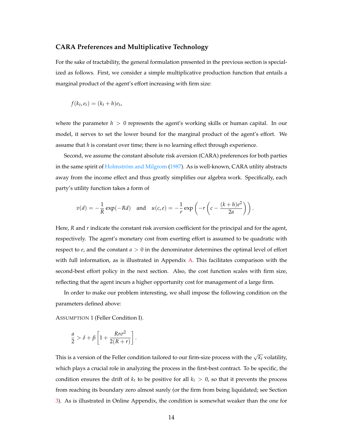#### **CARA Preferences and Multiplicative Technology**

For the sake of tractability, the general formulation presented in the previous section is specialized as follows. First, we consider a simple multiplicative production function that entails a marginal product of the agent's effort increasing with firm size:

$$
f(k_t, e_t) = (k_t + h)e_t,
$$

where the parameter  $h > 0$  represents the agent's working skills or human capital. In our model, it serves to set the lower bound for the marginal product of the agent's effort. We assume that *h* is constant over time; there is no learning effect through experience.

Second, we assume the constant absolute risk aversion (CARA) preferences for both parties in the same spirit of Holmström and Milgrom  $(1987)$ . As is well-known, CARA utility abstracts away from the income effect and thus greatly simplifies our algebra work. Specifically, each party's utility function takes a form of

$$
v(d) = -\frac{1}{R} \exp(-Rd) \quad \text{and} \quad u(c,e) = -\frac{1}{r} \exp\left(-r\left(c - \frac{(k+h)e^2}{2a}\right)\right).
$$

Here, *R* and *r* indicate the constant risk aversion coefficient for the principal and for the agent, respectively. The agent's monetary cost from exerting effort is assumed to be quadratic with respect to *e*, and the constant *a* > 0 in the denominator determines the optimal level of effort with full information, as is illustrated in Appendix A. This facilitates comparison with the second-best effort policy in the next section. Also, the cost function scales with firm size, reflecting that the agent incurs a higher opportunity cost for management of a large firm.

In order to make our problem interesting, we shall impose the following condition on the parameters defined above:

ASSUMPTION 1 (Feller Condition I).

$$
\frac{a}{2} > \delta + \beta \left[ 1 + \frac{Rr\sigma^2}{2(R+r)} \right].
$$

This is a version of the Feller condition tailored to our firm-size process with the  $\sqrt{k_t}$  volatility, which plays a crucial role in analyzing the process in the first-best contract. To be specific, the condition ensures the drift of  $k_t$  to be positive for all  $k_t > 0$ , so that it prevents the process from reaching its boundary zero almost surely (or the firm from being liquidated; see Section 3). As is illustrated in Online Appendix, the condition is somewhat weaker than the one for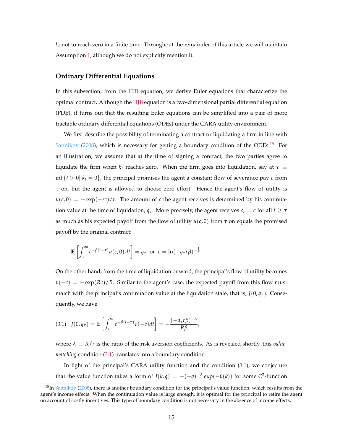$k_t$  not to reach zero in a finite time. Throughout the remainder of this article we will maintain Assumption 1, although we do not explicitly mention it.

#### **Ordinary Differential Equations**

In this subsection, from the HJB equation, we derive Euler equations that characterize the optimal contract. Although the HJB equation is a two-dimensional partial differential equation (PDE), it turns out that the resulting Euler equations can be simplified into a pair of more tractable ordinary differential equations (ODEs) under the CARA utility environment.

We first describe the possibility of terminating a contract or liquidating a firm in line with Sannikov (2008), which is necessary for getting a boundary condition of the ODEs.<sup>15</sup> For an illustration, we assume that at the time of signing a contract, the two parties agree to liquidate the firm when  $k_t$  reaches zero. When the firm goes into liquidation, say at  $\tau \equiv$ inf  $\{t > 0 | k_t = 0\}$ , the principal promises the agent a constant flow of severance pay *c* from *τ* on, but the agent is allowed to choose zero effort. Hence the agent's flow of utility is  $u(c, 0) = -e^{c}/r$ . The amount of *c* the agent receives is determined by his continuation value at the time of liquidation,  $q_\tau$ . More precisely, the agent receives  $c_t = c$  for all  $t \geq \tau$ as much as his expected payoff from the flow of utility  $u(c, 0)$  from  $\tau$  on equals the promised payoff by the original contract:

$$
\mathbb{E}\left[\int_{\tau}^{\infty}e^{-\beta(t-\tau)}u(c,0)\,dt\right]=q_{\tau}\,\,\text{ or }\,c=\ln(-q_{\tau}r\beta)^{-\frac{1}{r}}.
$$

On the other hand, from the time of liquidation onward, the principal's flow of utility becomes  $v(-c) = -e^{i\pi x}Rc$  /*R*. Similar to the agent's case, the expected payoff from this flow must match with the principal's continuation value at the liquidation state, that is,  $J(0, q<sub>\tau</sub>)$ . Consequently, we have

$$
(3.1) \quad J(0, q_{\tau}) = \mathbb{E}\left[\int_{\tau}^{\infty} e^{-\beta(t-\tau)} v(-c) dt\right] = -\frac{(-q_{\tau}r\beta)^{-\lambda}}{R\beta},
$$

where  $\lambda \equiv R/r$  is the ratio of the risk aversion coefficients. As is revealed shortly, this *valuematching* condition (3.1) translates into a boundary condition.

In light of the principal's CARA utility function and the condition (3.1), we conjecture that the value function takes a form of  $J(k,q) = -(-q)^{-\lambda} \exp(-\theta(k))$  for some *C*<sup>2</sup>-function

 $15$ In Sannikov (2008), there is another boundary condition for the principal's value function, which results from the agent's income effects. When the continuation value is large enough, it is optimal for the principal to retire the agent on account of costly incentives. This type of boundary condition is not necessary in the absence of income effects.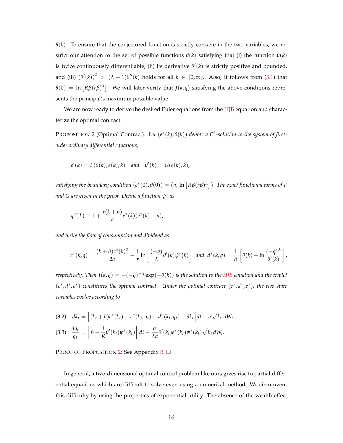$\theta(k)$ . To ensure that the conjectured function is strictly concave in the two variables, we restrict our attention to the set of possible functions  $\theta(k)$  satisfying that (i) the function  $\theta(k)$ is twice continuously differentiable, (ii) its derivative  $\theta'(k)$  is strictly positive and bounded, and (iii)  $(\theta'(k))^2 > (\lambda + 1)\theta''(k)$  holds for all  $k \in [0, \infty)$ . Also, it follows from (3.1) that  $\theta(0) = \ln [R\beta(r\beta)^{\lambda}]$ . We will later verify that *J*(*k*, *q*) satisfying the above conditions represents the principal's maximum possible value.

We are now ready to derive the desired Euler equations from the HJB equation and characterize the optimal contract.

PROPOSITION 2 (Optimal Contract). Let  $(e^*(k), \theta(k))$  denote a C<sup>1</sup>-solution to the system of first*order ordinary differential equations,*

$$
e'(k) = F(\theta(k), e(k), k)
$$
 and  $\theta'(k) = G(e(k), k)$ ,

satisfying the boundary condition  $(e^*(0), \theta(0)) = (a, \ln \lceil R\beta(r\beta)^\lambda \rceil)$ . The exact functional forms of F *and G are given in the proof. Define a function ψ* ∗ *as*

$$
\psi^*(k) \equiv 1 + \frac{r(k+h)}{a}e^*(k)(e^*(k) - a),
$$

*and write the flow of consumption and dividend as*

$$
c^*(k,q) = \frac{(k+h)e^*(k)^2}{2a} - \frac{1}{r}\ln\left[\frac{(-q)}{\lambda}\theta'(k)\psi^*(k)\right] \text{ and } d^*(k,q) = \frac{1}{R}\left[\theta(k) + \ln\frac{(-q)^{\lambda}}{\theta'(k)}\right],
$$

*respectively.* Then  $J(k, q) = -(-q)^{-\lambda} \exp(-\theta(k))$  is the solution to the HJB equation and the triplet (*c* ∗ , *d* ∗ ,*e* ∗ ) *constitutes the optimal contract. Under the optimal contract* (*c* ∗ , *d* ∗ ,*e* ∗ )*, the two state variables evolve according to*

$$
(3.2) \quad dk_t = \left[ (k_t + h)e^*(k_t) - c^*(k_t, q_t) - d^*(k_t, q_t) - \delta k_t \right] dt + \sigma \sqrt{k_t} \, dW_t
$$

$$
(3.3) \quad \frac{dq_t}{q_t} = \left[\beta - \frac{1}{R}\theta'(k_t)\psi^*(k_t)\right]dt - \frac{\sigma}{\lambda a}\theta'(k_t)e^*(k_t)\psi^*(k_t)\sqrt{k_t} \,dW_t.
$$

PROOF OF PROPOSITION 2: See Appendix B.  $\Box$ 

In general, a two-dimensional optimal control problem like ours gives rise to partial differential equations which are difficult to solve even using a numerical method. We circumvent this difficulty by using the properties of exponential utility. The absence of the wealth effect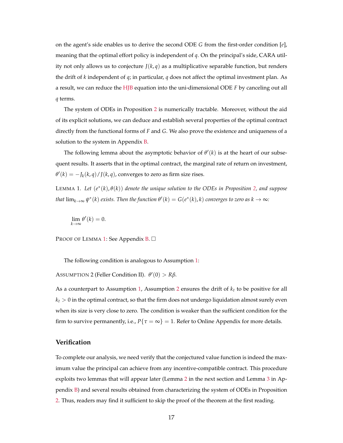on the agent's side enables us to derive the second ODE *G* from the first-order condition [*e*], meaning that the optimal effort policy is independent of *q*. On the principal's side, CARA utility not only allows us to conjecture  $J(k, q)$  as a multiplicative separable function, but renders the drift of *k* independent of *q*; in particular, *q* does not affect the optimal investment plan. As a result, we can reduce the HJB equation into the uni-dimensional ODE *F* by canceling out all *q* terms.

The system of ODEs in Proposition 2 is numerically tractable. Moreover, without the aid of its explicit solutions, we can deduce and establish several properties of the optimal contract directly from the functional forms of *F* and *G*. We also prove the existence and uniqueness of a solution to the system in Appendix B.

The following lemma about the asymptotic behavior of  $\theta'(k)$  is at the heart of our subsequent results. It asserts that in the optimal contract, the marginal rate of return on investment,  $\theta'(k) = -J_k(k,q)/J(k,q)$ , converges to zero as firm size rises.

LEMMA 1. *Let* (*e* ∗ (*k*), *θ*(*k*)) *denote the unique solution to the ODEs in Proposition 2, and suppose that*  $\lim_{k\to\infty} \psi^*(k)$  *exists. Then the function*  $\theta'(k) = G(e^*(k), k)$  *converges to zero as*  $k\to\infty$ *:* 

 $\lim_{k\to\infty} \theta'(k) = 0.$ 

PROOF OF LEMMA 1: See Appendix  $B. \Box$ 

The following condition is analogous to Assumption 1:

ASSUMPTION 2 (Feller Condition II).  $\theta'(0) > R\beta$ *.* 

As a counterpart to Assumption 1, Assumption 2 ensures the drift of *kt* to be positive for all  $k_t > 0$  in the optimal contract, so that the firm does not undergo liquidation almost surely even when its size is very close to zero. The condition is weaker than the sufficient condition for the firm to survive permanently, i.e.,  $P\{\tau = \infty\} = 1$ . Refer to Online Appendix for more details.

#### **Verification**

To complete our analysis, we need verify that the conjectured value function is indeed the maximum value the principal can achieve from any incentive-compatible contract. This procedure exploits two lemmas that will appear later (Lemma 2 in the next section and Lemma 3 in Appendix B) and several results obtained from characterizing the system of ODEs in Proposition 2. Thus, readers may find it sufficient to skip the proof of the theorem at the first reading.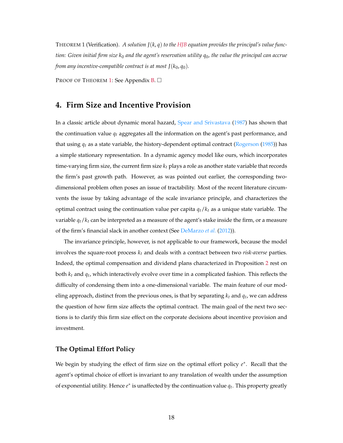THEOREM 1 (Verification). A solution  $J(k, q)$  to the HJB equation provides the principal's value func*tion: Given initial firm size k*<sup>0</sup> *and the agent's reservation utility q*0*, the value the principal can accrue from any incentive-compatible contract is at most*  $J(k_0, q_0)$ *.* 

PROOF OF THEOREM 1: See Appendix B.  $\Box$ 

## **4. Firm Size and Incentive Provision**

In a classic article about dynamic moral hazard, Spear and Srivastava (1987) has shown that the continuation value  $q_t$  aggregates all the information on the agent's past performance, and that using  $q_t$  as a state variable, the history-dependent optimal contract (Rogerson  $(1985)$ ) has a simple stationary representation. In a dynamic agency model like ours, which incorporates time-varying firm size, the current firm size *kt* plays a role as another state variable that records the firm's past growth path. However, as was pointed out earlier, the corresponding twodimensional problem often poses an issue of tractability. Most of the recent literature circumvents the issue by taking advantage of the scale invariance principle, and characterizes the optimal contract using the continuation value per capita  $q_t/k_t$  as a unique state variable. The variable  $q_t/k_t$  can be interpreted as a measure of the agent's stake inside the firm, or a measure of the firm's financial slack in another context (See DeMarzo *et al.* (2012)).

The invariance principle, however, is not applicable to our framework, because the model involves the square-root process  $k_t$  and deals with a contract between two *risk-averse* parties. Indeed, the optimal compensation and dividend plans characterized in Proposition 2 rest on both *kt* and *qt* , which interactively evolve over time in a complicated fashion. This reflects the difficulty of condensing them into a one-dimensional variable. The main feature of our modeling approach, distinct from the previous ones, is that by separating  $k_t$  and  $q_t$ , we can address the question of how firm size affects the optimal contract. The main goal of the next two sections is to clarify this firm size effect on the corporate decisions about incentive provision and investment.

## **The Optimal Effort Policy**

We begin by studying the effect of firm size on the optimal effort policy *e* ∗ . Recall that the agent's optimal choice of effort is invariant to any translation of wealth under the assumption of exponential utility. Hence *e* ∗ is unaffected by the continuation value *qt* . This property greatly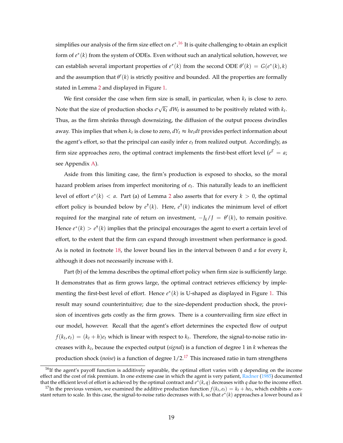simplifies our analysis of the firm size effect on *e* ∗ . <sup>16</sup> It is quite challenging to obtain an explicit form of *e* ∗ (*k*) from the system of ODEs. Even without such an analytical solution, however, we can establish several important properties of  $e^*(k)$  from the second ODE  $\theta'(k) = G(e^*(k), k)$ and the assumption that *θ* ′ (*k*) is strictly positive and bounded. All the properties are formally stated in Lemma 2 and displayed in Figure 1.

We first consider the case when firm size is small, in particular, when  $k_t$  is close to zero. Note that the size of production shocks  $\sigma\sqrt{k_t}$   $dW_t$  is assumed to be positively related with  $k_t$ . Thus, as the firm shrinks through downsizing, the diffusion of the output process dwindles away. This implies that when  $k_t$  is close to zero,  $dY_t \approx he_t dt$  provides perfect information about the agent's effort, so that the principal can easily infer *et* from realized output. Accordingly, as firm size approaches zero, the optimal contract implements the first-best effort level ( $e^F = a$ ; see Appendix A).

Aside from this limiting case, the firm's production is exposed to shocks, so the moral hazard problem arises from imperfect monitoring of *et* . This naturally leads to an inefficient level of effort  $e^*(k) < a$ . Part (a) of Lemma 2 also asserts that for every  $k > 0$ , the optimal effort policy is bounded below by  $e^{\dagger}(k)$ . Here,  $e^{\dagger}(k)$  indicates the minimum level of effort required for the marginal rate of return on investment,  $-I_k/I = \theta'(k)$ , to remain positive. Hence  $e^*(k) > e^{\dagger}(k)$  implies that the principal encourages the agent to exert a certain level of effort, to the extent that the firm can expand through investment when performance is good. As is noted in footnote 18, the lower bound lies in the interval between 0 and *a* for every *k*, although it does not necessarily increase with *k*.

Part (b) of the lemma describes the optimal effort policy when firm size is sufficiently large. It demonstrates that as firm grows large, the optimal contract retrieves efficiency by implementing the first-best level of effort. Hence *e* ∗ (*k*) is U-shaped as displayed in Figure 1. This result may sound counterintuitive; due to the size-dependent production shock, the provision of incentives gets costly as the firm grows. There is a countervailing firm size effect in our model, however. Recall that the agent's effort determines the expected flow of output  $f(k_t, e_t) = (k_t + h)e_t$  which is linear with respect to  $k_t$ . Therefore, the signal-to-noise ratio increases with *kt* , because the expected output (*signal*) is a function of degree 1 in *k* whereas the production shock (*noise*) is a function of degree 1/2.<sup>17</sup> This increased ratio in turn strengthens

<sup>&</sup>lt;sup>16</sup>If the agent's payoff function is additively separable, the optimal effort varies with  $q$  depending on the income effect and the cost of risk premium. In one extreme case in which the agent is very patient, Radner (1985) documented that the efficient level of effort is achieved by the optimal contract and  $e^*(k, q)$  decreases with  $q$  due to the income effect.

<sup>&</sup>lt;sup>17</sup>In the previous version, we examined the additive production function  $f(k_t, e_t) = k_t + he_t$ , which exhibits a constant return to scale. In this case, the signal-to-noise ratio decreases with *k*, so that *e* ∗ (*k*) approaches a lower bound as *k*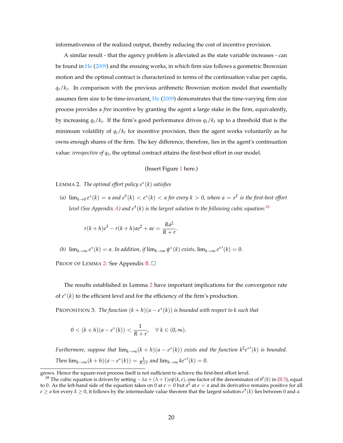informativeness of the realized output, thereby reducing the cost of incentive provision.

A similar result - that the agency problem is alleviated as the state variable increases - can be found in He (2009) and the ensuing works, in which firm size follows a geometric Brownian motion and the optimal contract is characterized in terms of the continuation value per capita, *qt*/*kt* . In comparison with the previous arithmetic Brownian motion model that essentially assumes firm size to be time-invariant, He (2009) demonstrates that the time-varying firm size process provides a *free* incentive by granting the agent a large stake in the firm, equivalently, by increasing *qt*/*kt* . If the firm's good performance drives *qt*/*kt* up to a threshold that is the minimum volatility of  $q_t/k_t$  for incentive provision, then the agent works voluntarily as he owns enough shares of the firm. The key difference, therefore, lies in the agent's continuation value: *irrespective of qt* , the optimal contract attains the first-best effort in our model.

#### (Insert Figure 1 here.)

LEMMA 2. *The optimal effort policy e*∗ (*k*) *satisfies*

(*a*)  $\lim_{k\to 0} e^*(k) = a$  and  $e^{\dagger}(k) < e^*(k) < a$  for every  $k > 0$ , where  $a = e^F$  is the first-best effort *level (See Appendix A) and e*† (*k*) *is the largest solution to the following cubic equation:*<sup>18</sup>

$$
r(k+h)e3 - r(k+h)ae2 + ae = \frac{Ra2}{R+r}.
$$

*(b)*  $\lim_{k\to\infty}e^*(k) = a$ . In addition, if  $\lim_{k\to\infty}\psi^*(k)$  exists,  $\lim_{k\to\infty}e^{*'}(k) = 0$ .

PROOF OF LEMMA 2: See Appendix B.  $\Box$ 

The results established in Lemma 2 have important implications for the convergence rate of *e* ∗ (*k*) to the efficient level and for the efficiency of the firm's production.

PROPOSITION 3. *The function*  $(k+h)(a-e^*(k))$  *is bounded with respect to k such that* 

$$
0 < (k + h)(a - e^*(k)) < \frac{1}{R + r'}, \quad \forall \ k \in (0, \infty).
$$

*Furthermore, suppose that*  $\lim_{k\to\infty} (k+h)(a-e^*(k))$  *exists and the function*  $k^2e^{*'}(k)$  *is bounded. Then*  $\lim_{k \to \infty} (k + h)(a - e^*(k)) = \frac{1}{R+r}$  and  $\lim_{k \to \infty} ke^{*'}(k) = 0$ .

grows. Hence the square-root process itself is not sufficient to achieve the first-best effort level.

<sup>&</sup>lt;sup>18</sup> The cubic equation is driven by setting  $-\lambda a + (λ + 1)eψ(k, e)$ , one factor of the denominator of  $θ'(k)$  in (B.5), equal to 0. As the left-hand side of the equation takes on 0 at  $e=0$  but  $a^2$  at  $e=a$  and its derivative remains positive for all  $e \ge a$  for every  $k \ge 0$ , it follows by the intermediate value theorem that the largest solution  $e^+(k)$  lies between 0 and *a*.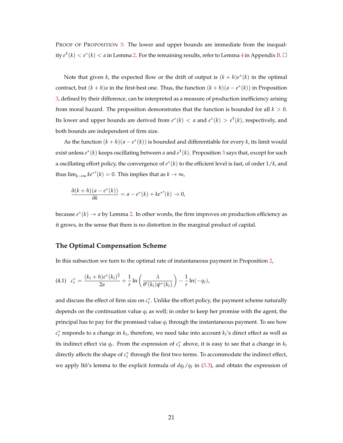PROOF OF PROPOSITION 3: The lower and upper bounds are immediate from the inequality  $e^{\dagger}(k) < e^*(k) < a$  in Lemma 2. For the remaining results, refer to Lemma 4 in Appendix B.  $\Box$ 

Note that given *k*, the expected flow or the drift of output is  $(k + h)e^{*}(k)$  in the optimal contract, but  $(k + h)a$  in the first-best one. Thus, the function  $(k + h)(a - e^{*}(k))$  in Proposition 3, defined by their difference, can be interpreted as a measure of production inefficiency arising from moral hazard. The proposition demonstrates that the function is bounded for all  $k > 0$ . Its lower and upper bounds are derived from  $e^*(k) < a$  and  $e^*(k) > e^{\dagger}(k)$ , respectively, and both bounds are independent of firm size.

As the function  $(k+h)(a-e^*(k))$  is bounded and differentiable for every *k*, its limit would exist unless *e* ∗ (*k*) keeps oscillating between *a* and *e* † (*k*). Proposition 3 says that, except for such a oscillating effort policy, the convergence of *e* ∗ (*k*) to the efficient level is fast, of order 1/*k*, and thus  $\lim_{k\to\infty} ke^{*'}(k) = 0$ . This implies that as  $k\to\infty$ ,

$$
\frac{\partial (k+h)(a-e^*(k))}{\partial k}=a-e^*(k)+ke^{*'}(k)\to 0,
$$

because  $e^*(k) \to a$  by Lemma 2. In other words, the firm improves on production efficiency as it grows, in the sense that there is no distortion in the marginal product of capital.

#### **The Optimal Compensation Scheme**

In this subsection we turn to the optimal rate of instantaneous payment in Proposition 2,

$$
(4.1) \quad c_t^* = \frac{(k_t + h)e^*(k_t)^2}{2a} + \frac{1}{r}\ln\left(\frac{\lambda}{\theta'(k_t)\psi^*(k_t)}\right) - \frac{1}{r}\ln(-q_t),
$$

and discuss the effect of firm size on  $c_t^*$ . Unlike the effort policy, the payment scheme naturally depends on the continuation value  $q_t$  as well; in order to keep her promise with the agent, the principal has to pay for the promised value *qt* through the instantaneous payment. To see how *c* ∗ *t* responds to a change in *kt* , therefore, we need take into account *kt* 's direct effect as well as its indirect effect via  $q_t$ . From the expression of  $c_t^*$  above, it is easy to see that a change in  $k_t$ directly affects the shape of *c* ∗ *t* through the first two terms. To accommodate the indirect effect, we apply Itô's lemma to the explicit formula of  $dq_t/q_t$  in (3.3), and obtain the expression of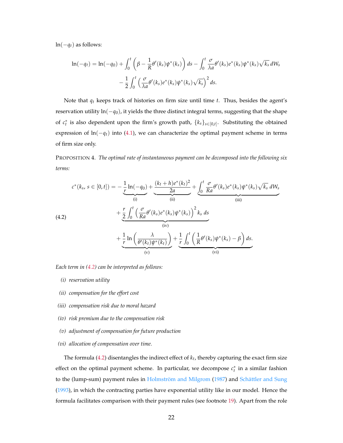ln(−*qt*) as follows:

$$
\ln(-q_t) = \ln(-q_0) + \int_0^t \left( \beta - \frac{1}{R} \theta'(k_s) \psi^*(k_s) \right) ds - \int_0^t \frac{\sigma}{\lambda a} \theta'(k_s) e^*(k_s) \psi^*(k_s) \sqrt{k_s} dW_s
$$

$$
- \frac{1}{2} \int_0^t \left( \frac{\sigma}{\lambda a} \theta'(k_s) e^*(k_s) \psi^*(k_s) \sqrt{k_s} \right)^2 ds.
$$

Note that *qt* keeps track of histories on firm size until time *t*. Thus, besides the agent's reservation utility ln(−*q*0), it yields the three distinct integral terms, suggesting that the shape of  $c_t^*$  is also dependent upon the firm's growth path,  $\{k_s\}_{s\in[0,t]}$ . Substituting the obtained expression of ln(−*qt*) into (4.1), we can characterize the optimal payment scheme in terms of firm size only.

PROPOSITION 4. *The optimal rate of instantaneous payment can be decomposed into the following six terms:*

$$
c^{*}(k_{s}, s \in [0, t]) = -\frac{1}{r} \ln(-q_{0}) + \frac{(k_{t} + h)e^{*}(k_{t})^{2}}{2a} + \underbrace{\int_{0}^{t} \frac{\sigma}{Ra} \theta'(k_{s}) e^{*}(k_{s}) \psi^{*}(k_{s}) \sqrt{k_{s}} dW_{s}}_{(ii)} + \underbrace{\frac{r}{2} \int_{0}^{t} \left(\frac{\sigma}{Ra} \theta'(k_{s}) e^{*}(k_{s}) \psi^{*}(k_{s})\right)^{2} k_{s} ds}_{(iv)} + \frac{1}{r} \ln\left(\frac{\lambda}{\theta'(k_{t}) \psi^{*}(k_{t})}\right) + \frac{1}{r} \underbrace{\int_{0}^{t} \left(\frac{1}{R} \theta'(k_{s}) \psi^{*}(k_{s}) - \beta\right) ds}_{(vi)}.
$$

*Each term in (4.2) can be interpreted as follows:*

- *(i) reservation utility*
- *(ii) compensation for the effort cost*
- *(iii) compensation risk due to moral hazard*
- *(iv) risk premium due to the compensation risk*
- *(v) adjustment of compensation for future production*
- *(vi) allocation of compensation over time.*

The formula (4.2) disentangles the indirect effect of *kt* , thereby capturing the exact firm size effect on the optimal payment scheme. In particular, we decompose  $c_t^*$  in a similar fashion to the (lump-sum) payment rules in Holmström and Milgrom (1987) and Schättler and Sung (1993), in which the contracting parties have exponential utility like in our model. Hence the formula facilitates comparison with their payment rules (see footnote 19). Apart from the role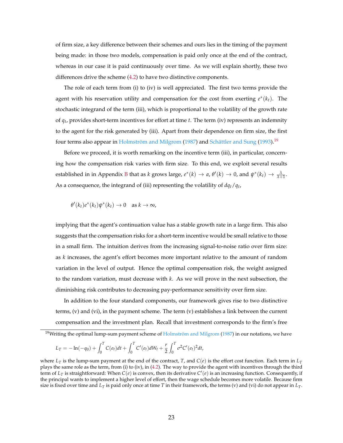of firm size, a key difference between their schemes and ours lies in the timing of the payment being made: in those two models, compensation is paid only once at the end of the contract, whereas in our case it is paid continuously over time. As we will explain shortly, these two differences drive the scheme (4.2) to have two distinctive components.

The role of each term from (i) to (iv) is well appreciated. The first two terms provide the agent with his reservation utility and compensation for the cost from exerting  $e^*(k_t)$ . The stochastic integrand of the term (iii), which is proportional to the volatility of the growth rate of *qt* , provides short-term incentives for effort at time *t*. The term (iv) represents an indemnity to the agent for the risk generated by (iii). Apart from their dependence on firm size, the first four terms also appear in Holmström and Milgrom  $(1987)$  and Schättler and Sung  $(1993)$ .<sup>19</sup>

Before we proceed, it is worth remarking on the incentive term (iii), in particular, concerning how the compensation risk varies with firm size. To this end, we exploit several results established in in Appendix B that as *k* grows large,  $e^*(k) \to a$ ,  $\theta'(k) \to 0$ , and  $\psi^*(k_t) \to \frac{\lambda}{\lambda+1}$ . As a consequence, the integrand of (iii) representing the volatility of *dqt*/*qt* ,

$$
\theta'(k_t)e^*(k_t)\psi^*(k_t)\to 0 \quad \text{as } k\to\infty,
$$

implying that the agent's continuation value has a stable growth rate in a large firm. This also suggests that the compensation risks for a short-term incentive would be small relative to those in a small firm. The intuition derives from the increasing signal-to-noise ratio over firm size: as *k* increases, the agent's effort becomes more important relative to the amount of random variation in the level of output. Hence the optimal compensation risk, the weight assigned to the random variation, must decrease with *k*. As we will prove in the next subsection, the diminishing risk contributes to decreasing pay-performance sensitivity over firm size.

In addition to the four standard components, our framework gives rise to two distinctive terms, (v) and (vi), in the payment scheme. The term (v) establishes a link between the current compensation and the investment plan. Recall that investment corresponds to the firm's free

<sup>19</sup>Writing the optimal lump-sum payment scheme of Holmström and Milgrom (1987) in our notations, we have

$$
L_T = -\ln(-q_0) + \int_0^T C(e_t)dt + \int_0^T C'(e_t)dW_t + \frac{r}{2}\int_0^T \sigma^2 C'(e_t)^2dt,
$$

where  $L_T$  is the lump-sum payment at the end of the contract, *T*, and  $C(e)$  is the effort cost function. Each term in  $L_T$ plays the same role as the term, from (i) to (iv), in (4.2). The way to provide the agent with incentives through the third term of *L<sup>T</sup>* is straightforward: When *C*(*e*) is convex, then its derivative *C* ′ (*e*) is an increasing function. Consequently, if the principal wants to implement a higher level of effort, then the wage schedule becomes more volatile. Because firm size is fixed over time and  $L_T$  is paid only once at time *T* in their framework, the terms (v) and (vi) do not appear in  $L_T$ .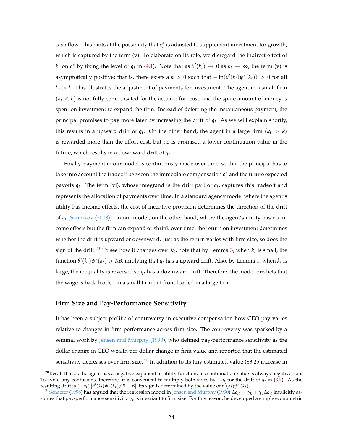$\epsilon$  cash flow. This hints at the possibility that  $c_t^*$  is adjusted to supplement investment for growth, which is captured by the term (v). To elaborate on its role, we disregard the indirect effect of *k*<sub>*t*</sub> on *c*<sup>\*</sup> by fixing the level of  $q_t$  in (4.1). Note that as  $\theta'(k_t) \to 0$  as  $k_t \to \infty$ , the term (v) is asymptotically positive; that is, there exists a  $\bar{k} > 0$  such that  $-\ln(\theta'(k_t)\psi^*(k_t)) > 0$  for all  $k_t > \bar{k}$ . This illustrates the adjustment of payments for investment. The agent in a small firm  $(k_t < \overline{k})$  is not fully compensated for the actual effort cost, and the spare amount of money is spent on investment to expand the firm. Instead of deferring the instantaneous payment, the principal promises to pay more later by increasing the drift of *qt* . As we will explain shortly, this results in a upward drift of  $q_t$ . On the other hand, the agent in a large firm  $(k_t > \bar{k})$ is rewarded more than the effort cost, but he is promised a lower continuation value in the future, which results in a downward drift of *qt* .

Finally, payment in our model is continuously made over time, so that the principal has to take into account the tradeoff between the immediate compensation  $c_t^*$  and the future expected payoffs *qt* . The term (vi), whose integrand is the drift part of *qt* , captures this tradeoff and represents the allocation of payments over time. In a standard agency model where the agent's utility has income effects, the cost of incentive provision determines the direction of the drift of *qt* (Sannikov (2008)). In our model, on the other hand, where the agent's utility has no income effects but the firm can expand or shrink over time, the return on investment determines whether the drift is upward or downward. Just as the return varies with firm size, so does the sign of the drift.<sup>20</sup> To see how it changes over  $k_t$ , note that by Lemma 3, when  $k_t$  is small, the function  $\theta'(k_t)\psi^*(k_t) > R\beta$ , implying that *q*<sub>t</sub> has a upward drift. Also, by Lemma 1, when  $k_t$  is large, the inequality is reversed so *qt* has a downward drift. Therefore, the model predicts that the wage is back-loaded in a small firm but front-loaded in a large firm.

#### **Firm Size and Pay-Performance Sensitivity**

It has been a subject prolific of controversy in executive compensation how CEO pay varies relative to changes in firm performance across firm size. The controversy was sparked by a seminal work by Jensen and Murphy (1990), who defined pay-performance sensitivity as the dollar change in CEO wealth per dollar change in firm value and reported that the estimated sensitivity decreases over firm size.<sup>21</sup> In addition to its tiny estimated value (\$3.25 increase in

 $^{20}$ Recall that as the agent has a negative exponential utility function, his continuation value is always negative, too. To avoid any confusions, therefore, it is convenient to multiply both sides by  $-q_t$  for the drift of  $q_t$  in (3.3). As the resulting drift is  $(-q_t)$  [θ'( $k_t$ ) $ψ^*(k_t)$ / $R - β$ ], its sign is determined by the value of  $θ'(k_t)ψ^*(k_t)$ .

<sup>&</sup>lt;sup>21</sup>Schaefer (1998) has argued that the regression model in Jensen and Murphy (1990)  $\Delta c_{it} = \gamma_0 + \gamma_c \Delta k_{it}$  implicitly assumes that pay-performance sensitivity  $\gamma_c$  is invariant to firm size. For this reason, he developed a simple econometric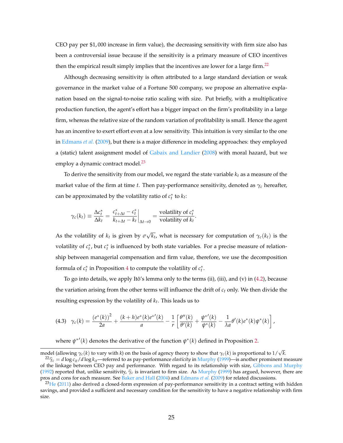CEO pay per \$1, 000 increase in firm value), the decreasing sensitivity with firm size also has been a controversial issue because if the sensitivity is a primary measure of CEO incentives then the empirical result simply implies that the incentives are lower for a large firm.<sup>22</sup>

Although decreasing sensitivity is often attributed to a large standard deviation or weak governance in the market value of a Fortune 500 company, we propose an alternative explanation based on the signal-to-noise ratio scaling with size. Put briefly, with a multiplicative production function, the agent's effort has a bigger impact on the firm's profitability in a large firm, whereas the relative size of the random variation of profitability is small. Hence the agent has an incentive to exert effort even at a low sensitivity. This intuition is very similar to the one in Edmans *et al.* (2009), but there is a major difference in modeling approaches: they employed a (static) talent assignment model of Gabaix and Landier (2008) with moral hazard, but we employ a dynamic contract model. $^{23}$ 

To derive the sensitivity from our model, we regard the state variable *kt* as a measure of the market value of the firm at time *t*. Then pay-performance sensitivity, denoted as *γc* hereafter, can be approximated by the volatility ratio of  $c_t^*$  to  $k_t$ :

$$
\gamma_c(k_t) \equiv \frac{\Delta c_t^*}{\Delta k_t} = \frac{c_{t+\Delta t}^* - c_t^*}{k_{t+\Delta t} - k_t}\bigg|_{\Delta t \to 0} = \frac{\text{volatility of } c_t^*}{\text{volatility of } k_t}.
$$

As the volatility of  $k_t$  is given by  $\sigma \sqrt{k_t}$ , what is necessary for computation of  $\gamma_c(k_t)$  is the volatility of  $c_t^*$ , but  $c_t^*$  is influenced by both state variables. For a precise measure of relationship between managerial compensation and firm value, therefore, we use the decomposition formula of  $c_t^*$  in Proposition 4 to compute the volatility of  $c_t^*$ .

To go into details, we apply Itô's lemma only to the terms (ii), (iii), and (v) in  $(4.2)$ , because the variation arising from the other terms will influence the drift of *ct* only. We then divide the resulting expression by the volatility of *kt* . This leads us to

$$
(4.3) \quad \gamma_c(k) = \frac{(e^*(k))^2}{2a} + \frac{(k+h)e^*(k)e^{*'}(k)}{a} - \frac{1}{r} \left[ \frac{\theta''(k)}{\theta'(k)} + \frac{\psi^{*'}(k)}{\psi^{*}(k)} - \frac{1}{\lambda a} \theta'(k)e^{*}(k)\psi^{*}(k) \right],
$$

where *ψ* ∗′ (*k*) denotes the derivative of the function *ψ* ∗ (*k*) defined in Proposition 2.

model (allowing  $\gamma_c(k)$  to vary with *k*) on the basis of agency theory to show that  $\gamma_c(k)$  is proportional to  $1/\sqrt{k}$ .

 $^{22}\hat{\gamma}_c = d\log c_{it}/d\log k_{it}$ —referred to as pay-performance *elasticity* in Murphy (1999)—is another prominent measure of the linkage between CEO pay and performance. With regard to its relationship with size, Gibbons and Murphy (1992) reported that, unlike sensitivity,  $\hat{\gamma}_c$  is invariant to firm size. As Murphy (1999) has argued, however, there are pros and cons for each measure. See Baker and Hall (2004) and Edmans *et al.* (2009) for related discussions.

 $^{23}$ He (2011) also derived a closed-form expression of pay-performance sensitivity in a contract setting with hidden savings, and provided a sufficient and necessary condition for the sensitivity to have a negative relationship with firm size.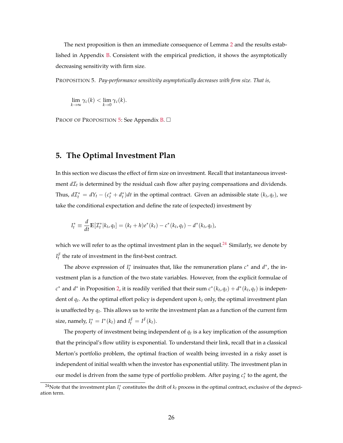The next proposition is then an immediate consequence of Lemma 2 and the results established in Appendix B. Consistent with the empirical prediction, it shows the asymptotically decreasing sensitivity with firm size.

PROPOSITION 5. *Pay-performance sensitivity asymptotically decreases with firm size. That is,*

$$
\lim_{k\to\infty}\gamma_c(k)<\lim_{k\to 0}\gamma_c(k).
$$

PROOF OF PROPOSITION 5: See Appendix  $B. \Box$ 

# **5. The Optimal Investment Plan**

In this section we discuss the effect of firm size on investment. Recall that instantaneous investment  $d\mathcal{I}_t$  is determined by the residual cash flow after paying compensations and dividends. Thus,  $d\mathcal{I}_t^* = dY_t - (c_t^* + d_t^*)dt$  in the optimal contract. Given an admissible state  $(k_t, q_t)$ , we take the conditional expectation and define the rate of (expected) investment by

$$
I_t^* \equiv \frac{d}{dt} \mathbb{E} [\mathcal{I}_t^* | k_t, q_t] = (k_t + h) e^*(k_t) - c^*(k_t, q_t) - d^*(k_t, q_t),
$$

which we will refer to as the optimal investment plan in the sequel.<sup>24</sup> Similarly, we denote by  $I_t^F$  the rate of investment in the first-best contract.

The above expression of  $I_t^*$  insinuates that, like the remuneration plans  $c^*$  and  $d^*$ , the investment plan is a function of the two state variables. However, from the explicit formulae of  $c^*$  and  $d^*$  in Proposition 2, it is readily verified that their sum  $c^*(k_t, q_t) + d^*(k_t, q_t)$  is independent of *qt* . As the optimal effort policy is dependent upon *kt* only, the optimal investment plan is unaffected by *qt* . This allows us to write the investment plan as a function of the current firm size, namely,  $I_t^* = I^*(k_t)$  and  $I_t^F = I^F(k_t)$ .

The property of investment being independent of  $q_t$  is a key implication of the assumption that the principal's flow utility is exponential. To understand their link, recall that in a classical Merton's portfolio problem, the optimal fraction of wealth being invested in a risky asset is independent of initial wealth when the investor has exponential utility. The investment plan in our model is driven from the same type of portfolio problem. After paying  $c_t^*$  to the agent, the

<sup>&</sup>lt;sup>24</sup>Note that the investment plan  $I_t^*$  constitutes the drift of  $k_t$  process in the optimal contract, exclusive of the depreciation term.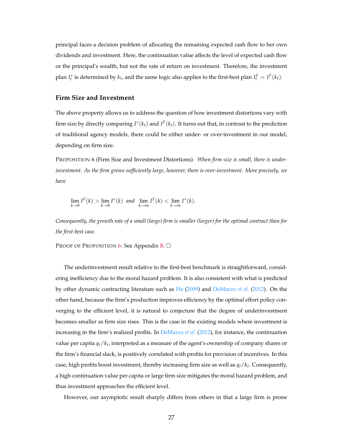principal faces a decision problem of allocating the remaining expected cash flow to her own dividends and investment. Here, the continuation value affects the level of expected cash flow or the principal's wealth, but not the rate of return on investment. Therefore, the investment plan  $I_t^*$  is determined by  $k_t$ , and the same logic also applies to the first-best plan  $I_t^F = I^F(k_t)$ .

#### **Firm Size and Investment**

The above property allows us to address the question of how investment distortions vary with firm size by directly comparing  $I^*(k_t)$  and  $I^F(k_t)$ . It turns out that, in contrast to the prediction of traditional agency models, there could be either under- or over-investment in our model, depending on firm size.

PROPOSITION 6 (Firm Size and Investment Distortions). *When firm size is small, there is underinvestment. As the firm grows sufficiently large, however, there is over-investment. More precisely, we have*

$$
\lim_{k\to 0} I^F(k) > \lim_{k\to 0} I^*(k)
$$
 and 
$$
\lim_{k\to \infty} I^F(k) < \lim_{k\to \infty} I^*(k).
$$

*Consequently, the growth rate of a small (large) firm is smaller (larger) for the optimal contract than for the first-best case.*

PROOF OF PROPOSITION 6: See Appendix B.  $\Box$ 

The underinvestment result relative to the first-best benchmark is straightforward, considering inefficiency due to the moral hazard problem. It is also consistent with what is predicted by other dynamic contracting literature such as He (2009) and DeMarzo *et al.* (2012). On the other hand, because the firm's production improves efficiency by the optimal effort policy converging to the efficient level, it is natural to conjecture that the degree of underinvestment becomes smaller as firm size rises. This is the case in the existing models where investment is increasing in the firm's realized profits. In DeMarzo *et al.* (2012), for instance, the continuation value per capita *qt*/*kt* , interpreted as a measure of the agent's ownership of company shares or the firm's financial slack, is positively correlated with profits for provision of incentives. In this case, high profits boost investment, thereby increasing firm size as well as  $q_t/k_t$ . Consequently, a high continuation value per capita or large firm size mitigates the moral hazard problem, and thus investment approaches the efficient level.

However, our asymptotic result sharply differs from others in that a large firm is prone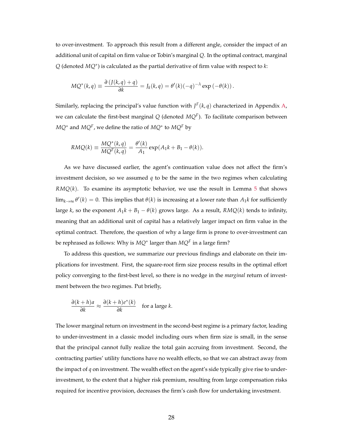to over-investment. To approach this result from a different angle, consider the impact of an additional unit of capital on firm value or Tobin's marginal *Q*. In the optimal contract, marginal *Q* (denoted *MQ*∗ ) is calculated as the partial derivative of firm value with respect to *k*:

$$
MQ^*(k,q) \equiv \frac{\partial (J(k,q) + q)}{\partial k} = J_k(k,q) = \theta'(k)(-q)^{-\lambda} \exp(-\theta(k)).
$$

Similarly, replacing the principal's value function with  $J<sup>F</sup>(k,q)$  characterized in Appendix A, we can calculate the first-best marginal *Q* (denoted *MQ<sup>F</sup>* ). To facilitate comparison between *MQ*<sup>∗</sup> and *MQ<sup>F</sup>* , we define the ratio of *MQ*∗ to *MQ<sup>F</sup>* by

$$
RMQ(k) \equiv \frac{MQ^*(k,q)}{MQ^F(k,q)} = \frac{\theta'(k)}{A_1} \exp(A_1k + B_1 - \theta(k)).
$$

As we have discussed earlier, the agent's continuation value does not affect the firm's investment decision, so we assumed *q* to be the same in the two regimes when calculating *RMQ*(*k*). To examine its asymptotic behavior, we use the result in Lemma 5 that shows  $\lim_{k\to\infty}$  *θ'*(*k*) = 0. This implies that *θ*(*k*) is increasing at a lower rate than *A*<sub>1</sub>*k* for sufficiently large *k*, so the exponent  $A_1k + B_1 - \theta(k)$  grows large. As a result,  $RMQ(k)$  tends to infinity, meaning that an additional unit of capital has a relatively larger impact on firm value in the optimal contract. Therefore, the question of why a large firm is prone to over-investment can be rephrased as follows: Why is *MQ*∗ larger than *MQ<sup>F</sup>* in a large firm?

To address this question, we summarize our previous findings and elaborate on their implications for investment. First, the square-root firm size process results in the optimal effort policy converging to the first-best level, so there is no wedge in the *marginal* return of investment between the two regimes. Put briefly,

$$
\frac{\partial (k+h)a}{\partial k} \approx \frac{\partial (k+h)e^*(k)}{\partial k} \quad \text{for a large } k.
$$

The lower marginal return on investment in the second-best regime is a primary factor, leading to under-investment in a classic model including ours when firm size is small, in the sense that the principal cannot fully realize the total gain accruing from investment. Second, the contracting parties' utility functions have no wealth effects, so that we can abstract away from the impact of *q* on investment. The wealth effect on the agent's side typically give rise to underinvestment, to the extent that a higher risk premium, resulting from large compensation risks required for incentive provision, decreases the firm's cash flow for undertaking investment.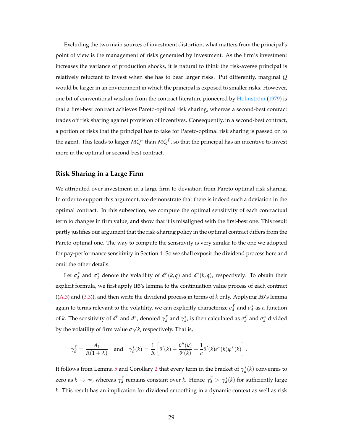Excluding the two main sources of investment distortion, what matters from the principal's point of view is the management of risks generated by investment. As the firm's investment increases the variance of production shocks, it is natural to think the risk-averse principal is relatively reluctant to invest when she has to bear larger risks. Put differently, marginal *Q* would be larger in an environment in which the principal is exposed to smaller risks. However, one bit of conventional wisdom from the contract literature pioneered by Holmström (1979) is that a first-best contract achieves Pareto-optimal risk sharing, whereas a second-best contract trades off risk sharing against provision of incentives. Consequently, in a second-best contract, a portion of risks that the principal has to take for Pareto-optimal risk sharing is passed on to the agent. This leads to larger *MQ*∗ than *MQ<sup>F</sup>* , so that the principal has an incentive to invest more in the optimal or second-best contract.

#### **Risk Sharing in a Large Firm**

We attributed over-investment in a large firm to deviation from Pareto-optimal risk sharing. In order to support this argument, we demonstrate that there is indeed such a deviation in the optimal contract. In this subsection, we compute the optimal sensitivity of each contractual term to changes in firm value, and show that it is misaligned with the first-best one. This result partly justifies our argument that the risk-sharing policy in the optimal contract differs from the Pareto-optimal one. The way to compute the sensitivity is very similar to the one we adopted for pay-performance sensitivity in Section 4. So we shall exposit the dividend process here and omit the other details.

Let  $\sigma_d^F$  and  $\sigma_d^*$  denote the volatility of  $d^F(k,q)$  and  $d^*(k,q)$ , respectively. To obtain their explicit formula, we first apply Itô's lemma to the continuation value process of each contract  $((A.3)$  and  $(3.3)$ ), and then write the dividend process in terms of *k* only. Applying Itô's lemma again to terms relevant to the volatility, we can explicitly characterize  $\sigma_d^F$  and  $\sigma_d^*$  as a function of *k*. The sensitivity of  $d^F$  and  $d^*$ , denoted  $\gamma_d^F$  and  $\gamma_{d'}^*$  is then calculated as  $\sigma_d^F$  and  $\sigma_d^*$  divided by the volatility of firm value  $\sigma\sqrt{k}$ , respectively. That is,

$$
\gamma_d^F = \frac{A_1}{R(1+\lambda)} \quad \text{and} \quad \gamma_d^*(k) = \frac{1}{R} \left[ \theta'(k) - \frac{\theta''(k)}{\theta'(k)} - \frac{1}{a} \theta'(k) e^*(k) \psi^*(k) \right].
$$

It follows from Lemma 5 and Corollary 2 that every term in the bracket of  $\gamma_d^*(k)$  converges to zero as  $k \to \infty$ , whereas  $\gamma_d^F$  remains constant over *k*. Hence  $\gamma_d^F > \gamma_d^*(k)$  for sufficiently large *k*. This result has an implication for dividend smoothing in a dynamic context as well as risk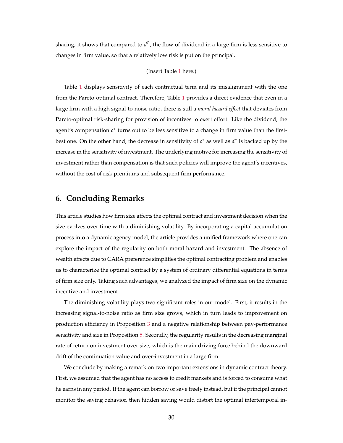sharing; it shows that compared to *d F* , the flow of dividend in a large firm is less sensitive to changes in firm value, so that a relatively low risk is put on the principal.

#### (Insert Table 1 here.)

Table 1 displays sensitivity of each contractual term and its misalignment with the one from the Pareto-optimal contract. Therefore, Table 1 provides a direct evidence that even in a large firm with a high signal-to-noise ratio, there is still a *moral hazard effect* that deviates from Pareto-optimal risk-sharing for provision of incentives to exert effort. Like the dividend, the agent's compensation *c*<sup>∗</sup> turns out to be less sensitive to a change in firm value than the firstbest one. On the other hand, the decrease in sensitivity of *c* ∗ as well as *d* ∗ is backed up by the increase in the sensitivity of investment. The underlying motive for increasing the sensitivity of investment rather than compensation is that such policies will improve the agent's incentives, without the cost of risk premiums and subsequent firm performance.

# **6. Concluding Remarks**

This article studies how firm size affects the optimal contract and investment decision when the size evolves over time with a diminishing volatility. By incorporating a capital accumulation process into a dynamic agency model, the article provides a unified framework where one can explore the impact of the regularity on both moral hazard and investment. The absence of wealth effects due to CARA preference simplifies the optimal contracting problem and enables us to characterize the optimal contract by a system of ordinary differential equations in terms of firm size only. Taking such advantages, we analyzed the impact of firm size on the dynamic incentive and investment.

The diminishing volatility plays two significant roles in our model. First, it results in the increasing signal-to-noise ratio as firm size grows, which in turn leads to improvement on production efficiency in Proposition 3 and a negative relationship between pay-performance sensitivity and size in Proposition 5. Secondly, the regularity results in the decreasing marginal rate of return on investment over size, which is the main driving force behind the downward drift of the continuation value and over-investment in a large firm.

We conclude by making a remark on two important extensions in dynamic contract theory. First, we assumed that the agent has no access to credit markets and is forced to consume what he earns in any period. If the agent can borrow or save freely instead, but if the principal cannot monitor the saving behavior, then hidden saving would distort the optimal intertemporal in-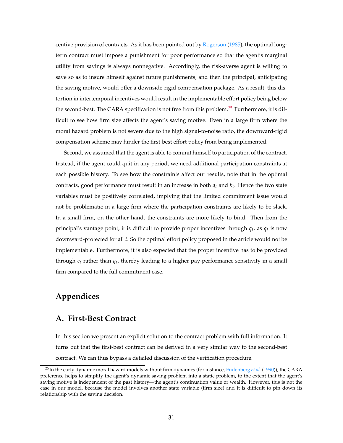centive provision of contracts. As it has been pointed out by Rogerson (1985), the optimal longterm contract must impose a punishment for poor performance so that the agent's marginal utility from savings is always nonnegative. Accordingly, the risk-averse agent is willing to save so as to insure himself against future punishments, and then the principal, anticipating the saving motive, would offer a downside-rigid compensation package. As a result, this distortion in intertemporal incentives would result in the implementable effort policy being below the second-best. The CARA specification is not free from this problem.<sup>25</sup> Furthermore, it is difficult to see how firm size affects the agent's saving motive. Even in a large firm where the moral hazard problem is not severe due to the high signal-to-noise ratio, the downward-rigid compensation scheme may hinder the first-best effort policy from being implemented.

Second, we assumed that the agent is able to commit himself to participation of the contract. Instead, if the agent could quit in any period, we need additional participation constraints at each possible history. To see how the constraints affect our results, note that in the optimal contracts, good performance must result in an increase in both *qt* and *kt* . Hence the two state variables must be positively correlated, implying that the limited commitment issue would not be problematic in a large firm where the participation constraints are likely to be slack. In a small firm, on the other hand, the constraints are more likely to bind. Then from the principal's vantage point, it is difficult to provide proper incentives through *qt* , as *qt* is now downward-protected for all *t*. So the optimal effort policy proposed in the article would not be implementable. Furthermore, it is also expected that the proper incentive has to be provided through *ct* rather than *qt* , thereby leading to a higher pay-performance sensitivity in a small firm compared to the full commitment case.

# **Appendices**

## **A. First-Best Contract**

In this section we present an explicit solution to the contract problem with full information. It turns out that the first-best contract can be derived in a very similar way to the second-best contract. We can thus bypass a detailed discussion of the verification procedure.

<sup>25</sup>In the early dynamic moral hazard models without firm dynamics (for instance, Fudenberg *et al.* (1990)), the CARA preference helps to simplify the agent's dynamic saving problem into a static problem, to the extent that the agent's saving motive is independent of the past history—the agent's continuation value or wealth. However, this is not the case in our model, because the model involves another state variable (firm size) and it is difficult to pin down its relationship with the saving decision.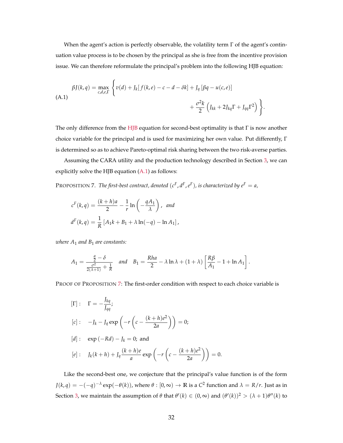When the agent's action is perfectly observable, the volatility term  $\Gamma$  of the agent's continuation value process is to be chosen by the principal as she is free from the incentive provision issue. We can therefore reformulate the principal's problem into the following HJB equation:

$$
\beta J(k,q) = \max_{c,d,e,\Gamma} \left\{ v(d) + J_k[f(k,e) - c - d - \delta k] + J_q [\beta q - u(c,e)] + \frac{\sigma^2 k}{2} \left( J_{kk} + 2J_{kq} \Gamma + J_{qq} \Gamma^2 \right) \right\}.
$$
\n(A.1)

The only difference from the HJB equation for second-best optimality is that Γ is now another choice variable for the principal and is used for maximizing her own value. Put differently, Γ is determined so as to achieve Pareto-optimal risk sharing between the two risk-averse parties.

Assuming the CARA utility and the production technology described in Section 3, we can explicitly solve the HJB equation (A.1) as follows:

PROPOSITION 7. *The first-best contract, denoted*  $(c^F, d^F, e^F)$ , is characterized by  $e^F = a$ ,

$$
c^{F}(k,q) = \frac{(k+h)a}{2} - \frac{1}{r} \ln\left(-\frac{qA_1}{\lambda}\right), \text{ and}
$$

$$
d^{F}(k,q) = \frac{1}{R} \left[A_1 k + B_1 + \lambda \ln(-q) - \ln A_1\right],
$$

*where A*<sup>1</sup> *and B*<sup>1</sup> *are constants:*

$$
A_1 = \frac{\frac{a}{2} - \delta}{\frac{\sigma^2}{2(\lambda + 1)} + \frac{1}{R}} \quad \text{and} \quad B_1 = \frac{Rha}{2} - \lambda \ln \lambda + (1 + \lambda) \left[ \frac{R\beta}{A_1} - 1 + \ln A_1 \right].
$$

PROOF OF PROPOSITION 7: The first-order condition with respect to each choice variable is

$$
\begin{aligned}\n[\Gamma]: \quad & \Gamma = -\frac{J_{kq}}{J_{qq}}; \\
[\mathbf{c}] : \quad & -J_k - J_q \exp\left(-r\left(c - \frac{(k+h)e^2}{2a}\right)\right) = 0; \\
[\mathbf{d}] : \quad & \exp\left(-R\mathbf{d}\right) - J_k = 0; \text{ and} \\
[\mathbf{e}] : \quad & J_k(k+h) + J_q \frac{(k+h)e}{a} \exp\left(-r\left(c - \frac{(k+h)e^2}{2a}\right)\right) = 0.\n\end{aligned}
$$

Like the second-best one, we conjecture that the principal's value function is of the form  $J(k,q) = -(-q)^{-\lambda} \exp(-\theta(k))$ , where  $\theta : [0,\infty) \to \mathbb{R}$  is a  $C^2$  function and  $\lambda = R/r$ . Just as in Section 3, we maintain the assumption of *θ* that  $\theta'(k) \in (0, \infty)$  and  $(\theta'(k))^2 > (\lambda + 1)\theta''(k)$  to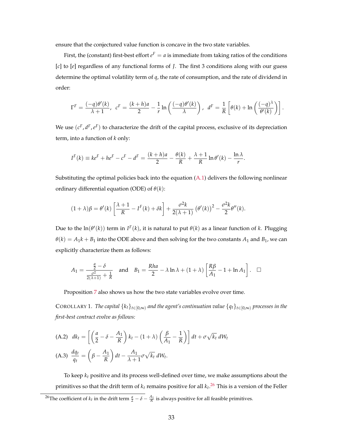ensure that the conjectured value function is concave in the two state variables.

First, the (constant) first-best effort  $e^F = a$  is immediate from taking ratios of the conditions [*c*] to [*e*] regardless of any functional forms of *J*. The first 3 conditions along with our guess determine the optimal volatility term of *q*, the rate of consumption, and the rate of dividend in order:

$$
\Gamma^{F} = \frac{(-q)\theta'(k)}{\lambda+1}, \ \ c^{F} = \frac{(k+h)a}{2} - \frac{1}{r}\ln\left(\frac{(-q)\theta'(k)}{\lambda}\right), \ \ d^{F} = \frac{1}{R}\left[\theta(k) + \ln\left(\frac{(-q)^{\lambda}}{\theta'(k)}\right)\right].
$$

We use  $(c^F, d^F, e^F)$  to characterize the drift of the capital process, exclusive of its depreciation term, into a function of *k* only:

$$
I^{F}(k) \equiv ke^{F} + he^{F} - c^{F} - d^{F} = \frac{(k+h)a}{2} - \frac{\theta(k)}{R} + \frac{\lambda+1}{R}\ln\theta'(k) - \frac{\ln\lambda}{r}.
$$

Substituting the optimal policies back into the equation (A.1) delivers the following nonlinear ordinary differential equation (ODE) of *θ*(*k*):

$$
(1+\lambda)\beta = \theta'(k)\left[\frac{\lambda+1}{R} - I^F(k) + \delta k\right] + \frac{\sigma^2 k}{2(\lambda+1)}\left(\theta'(k)\right)^2 - \frac{\sigma^2 k}{2}\theta''(k).
$$

Due to the  $\ln(\theta'(k))$  term in  $I^F(k)$ , it is natural to put  $\theta(k)$  as a linear function of *k*. Plugging  $\theta(k) = A_1 k + B_1$  into the ODE above and then solving for the two constants  $A_1$  and  $B_1$ , we can explicitly characterize them as follows:

$$
A_1 = \frac{\frac{a}{2} - \delta}{\frac{\sigma^2}{2(\lambda + 1)} + \frac{1}{R}} \quad \text{and} \quad B_1 = \frac{Rha}{2} - \lambda \ln \lambda + (1 + \lambda) \left[ \frac{R\beta}{A_1} - 1 + \ln A_1 \right]. \quad \Box
$$

Proposition 7 also shows us how the two state variables evolve over time.

 $\sf CONOLLARY 1.$  *The capital*  $\{k_t\}_{t\in [0,\infty)}$  *and the agent's continuation value*  $\{q_t\}_{t\in [0,\infty)}$  *processes in the first-best contract evolve as follows:*

(A.2) 
$$
dk_t = \left[ \left( \frac{a}{2} - \delta - \frac{A_1}{R} \right) k_t - (1 + \lambda) \left( \frac{\beta}{A_1} - \frac{1}{R} \right) \right] dt + \sigma \sqrt{k_t} dW_t
$$
  
(A.3) 
$$
\frac{dq_t}{q_t} = \left( \beta - \frac{A_1}{R} \right) dt - \frac{A_1}{\lambda + 1} \sigma \sqrt{k_t} dW_t.
$$

To keep *kt* positive and its process well-defined over time, we make assumptions about the primitives so that the drift term of *kt* remains positive for all *kt* . <sup>26</sup> This is a version of the Feller

<sup>&</sup>lt;sup>26</sup>The coefficient of  $k_t$  in the drift term  $\frac{a}{2} - \delta - \frac{A_1}{R}$  is always positive for all feasible primitives.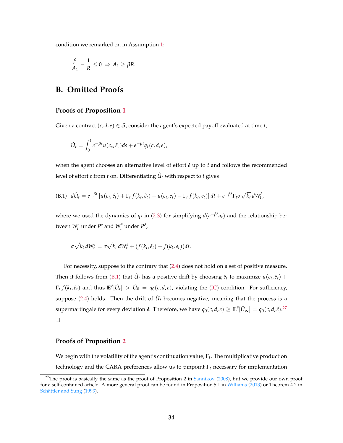condition we remarked on in Assumption 1:

$$
\frac{\beta}{A_1} - \frac{1}{R} \le 0 \Rightarrow A_1 \ge \beta R.
$$

# **B. Omitted Proofs**

### **Proofs of Proposition 1**

Given a contract  $(c, d, e) \in S$ , consider the agent's expected payoff evaluated at time *t*,

$$
\hat{U}_t = \int_0^t e^{-\beta s} u(c_s, \hat{e}_s) ds + e^{-\beta t} q_t(c, d, e),
$$

when the agent chooses an alternative level of effort  $\hat{e}$  up to  $t$  and follows the recommended level of effort  $e$  from  $t$  on. Differentiating  $\hat{U}_t$  with respect to  $t$  gives

(B.1) 
$$
d\hat{U}_t = e^{-\beta t} \left[ u(c_t, \hat{e}_t) + \Gamma_t f(k_t, \hat{e}_t) - u(c_t, e_t) - \Gamma_t f(k_t, e_t) \right] dt + e^{-\beta t} \Gamma_t \sigma \sqrt{k_t} dW_t^{\hat{e}}
$$

where we used the dynamics of  $q_t$  in (2.3) for simplifying  $d(e^{-\beta t}q_t)$  and the relationship between  $W_t^e$  under  $P^e$  and  $W_t^{\hat{e}}$  under  $P^{\hat{e}}$ ,

$$
\sigma\sqrt{k_t} \, dW_t^e = \sigma\sqrt{k_t} \, dW_t^{\hat{e}} + (f(k_t, \hat{e}_t) - f(k_t, e_t))dt.
$$

For necessity, suppose to the contrary that (2.4) does not hold on a set of positive measure. Then it follows from (B.1) that  $\hat{U}_t$  has a positive drift by choosing  $\hat{e}_t$  to maximize  $u(c_t, \hat{e}_t)$  +  $\int \Gamma_t f(k_t, \hat{e}_t)$  and thus  $\mathbb{E}^{\hat{e}}[\hat{U}_t] > \hat{U}_0 = q_0(c, d, e)$ , violating the (IC) condition. For sufficiency, suppose (2.4) holds. Then the drift of  $\hat{U}_t$  becomes negative, meaning that the process is a supermartingale for every deviation  $\hat{e}$ . Therefore, we have  $q_0(c, d, e) \geq \mathbb{E}^{\hat{e}}[\hat{U}_{\infty}] = q_0(c, d, \hat{e})$ .<sup>27</sup>  $\Box$ 

#### **Proofs of Proposition 2**

We begin with the volatility of the agent's continuation value, Γ*<sup>t</sup>* . The multiplicative production technology and the CARA preferences allow us to pinpoint  $\Gamma_t$  necessary for implementation

<sup>&</sup>lt;sup>27</sup>The proof is basically the same as the proof of Proposition 2 in  $Sannikov$  (2008), but we provide our own proof for a self-contained article. A more general proof can be found in Proposition 5.1 in Williams (2013) or Theorem 4.2 in Schättler and Sung (1993).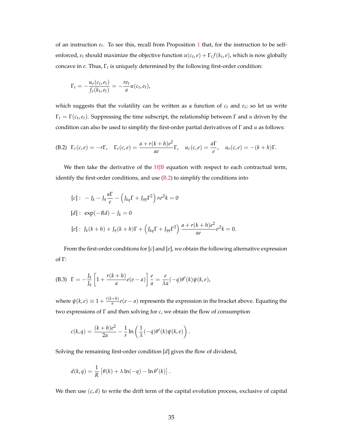of an instruction *et* . To see this, recall from Proposition 1 that, for the instruction to be selfenforced,  $e_t$  should maximize the objective function  $u(c_t, e) + \Gamma_t f(k_t, e)$ , which is now globally concave in *e*. Thus, Γ*<sup>t</sup>* is uniquely determined by the following first-order condition:

$$
\Gamma_t = -\frac{u_e(c_t, e_t)}{f_e(k_t, e_t)} = -\frac{re_t}{a}u(c_t, e_t),
$$

which suggests that the volatility can be written as a function of *ct* and *et* ; so let us write  $\Gamma_t = \Gamma(c_t, e_t)$ . Suppressing the time subscript, the relationship between  $\Gamma$  and *u* driven by the condition can also be used to simplify the first-order partial derivatives of Γ and *u* as follows:

(B.2) 
$$
\Gamma_c(c, e) = -r\Gamma
$$
,  $\Gamma_e(c, e) = \frac{a + r(k+h)e^2}{ae} \Gamma$ ,  $u_c(c, e) = \frac{a\Gamma}{e}$ ,  $u_e(c, e) = -(k+h)\Gamma$ .

We then take the derivative of the HJB equation with respect to each contractual term, identify the first-order conditions, and use (B.2) to simplify the conditions into

$$
[c]: -J_k - J_q \frac{a\Gamma}{e} - (J_{kq}\Gamma + J_{qq}\Gamma^2) r\sigma^2 k = 0
$$
  

$$
[d]: \exp(-Rd) - J_k = 0
$$
  

$$
[e]: J_k(k+h) + J_q(k+h)\Gamma + (J_{kq}\Gamma + J_{qq}\Gamma^2) \frac{a + r(k+h)e^2}{ae}\sigma^2 k = 0.
$$

From the first-order conditions for [*c*] and [*e*], we obtain the following alternative expression of Γ:

(B.3) 
$$
\Gamma = -\frac{J_k}{J_q} \left[ 1 + \frac{r(k+h)}{a} e(e-a) \right] \frac{e}{a} = \frac{e}{\lambda a} (-q) \theta'(k) \psi(k,e),
$$

where  $\psi(k,e) \equiv 1 + \frac{r(k+h)}{a}$  $\frac{+n}{a}$  *e*(*e* − *a*) represents the expression in the bracket above. Equating the two expressions of Γ and then solving for *c*, we obtain the flow of consumption

$$
c(k,q) = \frac{(k+h)e^2}{2a} - \frac{1}{r}\ln\left(\frac{1}{\lambda}(-q)\theta'(k)\psi(k,e)\right).
$$

Solving the remaining first-order condition [*d*] gives the flow of dividend,

$$
d(k,q) = \frac{1}{R} \left[ \theta(k) + \lambda \ln(-q) - \ln \theta'(k) \right].
$$

We then use  $(c, d)$  to write the drift term of the capital evolution process, exclusive of capital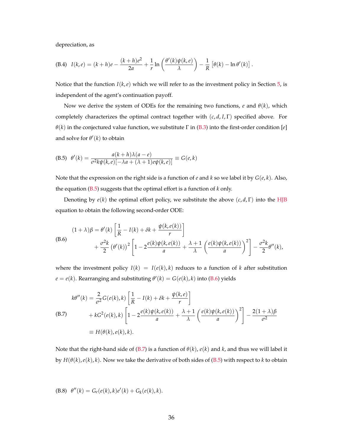depreciation, as

(B.4) 
$$
I(k,e) = (k+h)e - \frac{(k+h)e^2}{2a} + \frac{1}{r}\ln\left(\frac{\theta'(k)\psi(k,e)}{\lambda}\right) - \frac{1}{R}\left[\theta(k) - \ln\theta'(k)\right].
$$

Notice that the function  $I(k, e)$  which we will refer to as the investment policy in Section 5, is independent of the agent's continuation payoff.

Now we derive the system of ODEs for the remaining two functions, *e* and *θ*(*k*), which completely characterizes the optimal contract together with (*c*, *d*, *I*, Γ) specified above. For *θ*(*k*) in the conjectured value function, we substitute Γ in (B.3) into the first-order condition [*e*] and solve for  $\theta'(k)$  to obtain

(B.5) 
$$
\theta'(k) = \frac{a(k+h)\lambda(a-e)}{\sigma^2 k \psi(k,e) [-\lambda a + (\lambda+1)e\psi(k,e)]} \equiv G(e,k)
$$

Note that the expression on the right side is a function of *e* and *k* so we label it by *G*(*e*, *k*). Also, the equation (B.5) suggests that the optimal effort is a function of *k* only.

Denoting by  $e(k)$  the optimal effort policy, we substitute the above  $(c, d, \Gamma)$  into the HJB equation to obtain the following second-order ODE:

$$
(1+\lambda)\beta = \theta'(k) \left[ \frac{1}{R} - I(k) + \delta k + \frac{\psi(k, e(k))}{r} \right]
$$
  
(B.6)  

$$
+ \frac{\sigma^2 k}{2} (\theta'(k))^2 \left[ 1 - 2 \frac{e(k)\psi(k, e(k))}{a} + \frac{\lambda + 1}{\lambda} \left( \frac{e(k)\psi(k, e(k))}{a} \right)^2 \right] - \frac{\sigma^2 k}{2} \theta''(k),
$$

where the investment policy  $I(k) = I(e(k), k)$  reduces to a function of *k* after substitution  $e = e(k)$ . Rearranging and substituting  $\theta'(k) = G(e(k), k)$  into (B.6) yields

$$
k\theta''(k) = \frac{2}{\sigma^2} G(e(k),k) \left[ \frac{1}{R} - I(k) + \delta k + \frac{\psi(k,e)}{r} \right]
$$
  
(B.7) 
$$
+ kG^2(e(k),k) \left[ 1 - 2\frac{e(k)\psi(k,e(k))}{a} + \frac{\lambda + 1}{\lambda} \left( \frac{e(k)\psi(k,e(k))}{a} \right)^2 \right] - \frac{2(1+\lambda)\beta}{\sigma^2}
$$

$$
\equiv H(\theta(k),e(k),k).
$$

Note that the right-hand side of (B.7) is a function of *θ*(*k*), *e*(*k*) and *k*, and thus we will label it by  $H(\theta(k), e(k), k)$ . Now we take the derivative of both sides of (B.5) with respect to *k* to obtain

(B.8) 
$$
\theta''(k) = G_e(e(k), k)e'(k) + G_k(e(k), k).
$$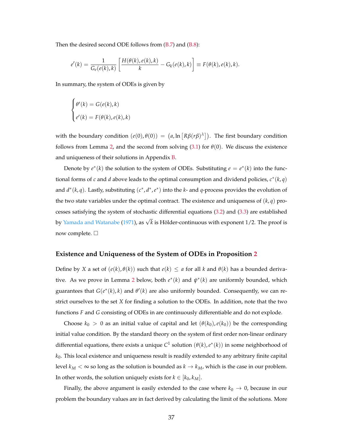Then the desired second ODE follows from  $(B.7)$  and  $(B.8)$ :

$$
e'(k) = \frac{1}{G_e(e(k),k)} \left[ \frac{H(\theta(k),e(k),k)}{k} - G_k(e(k),k) \right] \equiv F(\theta(k),e(k),k).
$$

In summary, the system of ODEs is given by

$$
\begin{cases} \theta'(k) = G(e(k), k) \\ e'(k) = F(\theta(k), e(k), k) \end{cases}
$$

with the boundary condition  $(e(0), \theta(0)) = (a, \ln [R\beta(r\beta)^{\lambda}])$ . The first boundary condition follows from Lemma 2, and the second from solving  $(3.1)$  for  $\theta(0)$ . We discuss the existence and uniqueness of their solutions in Appendix B.

Denote by  $e^*(k)$  the solution to the system of ODEs. Substituting  $e = e^*(k)$  into the functional forms of *c* and *d* above leads to the optimal consumption and dividend policies,  $c^*(k,q)$ and  $d^*(k, q)$ . Lastly, substituting  $(c^*, d^*, e^*)$  into the *k*- and *q*-process provides the evolution of the two state variables under the optimal contract. The existence and uniqueness of  $(k, q)$  processes satisfying the system of stochastic differential equations (3.2) and (3.3) are established by <u>Yamada and Watanabe (1971),</u> as  $\sqrt{k}$  is Hölder-continuous with exponent 1/2. The proof is now complete.

#### **Existence and Uniqueness of the System of ODEs in Proposition 2**

Define by *X* a set of  $(e(k), \theta(k))$  such that  $e(k) \leq a$  for all *k* and  $\theta(k)$  has a bounded derivative. As we prove in Lemma 2 below, both *e* ∗ (*k*) and *ψ* ∗ (*k*) are uniformly bounded, which guarantees that *G*(*e*<sup>\*</sup>(*k*), *k*) and *θ*'(*k*) are also uniformly bounded. Consequently, we can restrict ourselves to the set *X* for finding a solution to the ODEs. In addition, note that the two functions *F* and *G* consisting of ODEs in are continuously differentiable and do not explode.

Choose  $k_0 > 0$  as an initial value of capital and let  $(\theta(k_0), e(k_0))$  be the corresponding initial value condition. By the standard theory on the system of first order non-linear ordinary differential equations, there exists a unique  $C^1$  solution  $(\theta(k), e^*(k))$  in some neighborhood of *k*0. This local existence and uniqueness result is readily extended to any arbitrary finite capital level  $k_M < \infty$  so long as the solution is bounded as  $k \to k_M$ , which is the case in our problem. In other words, the solution uniquely exists for  $k \in [k_0, k_M]$ .

Finally, the above argument is easily extended to the case where  $k_0 \rightarrow 0$ , because in our problem the boundary values are in fact derived by calculating the limit of the solutions. More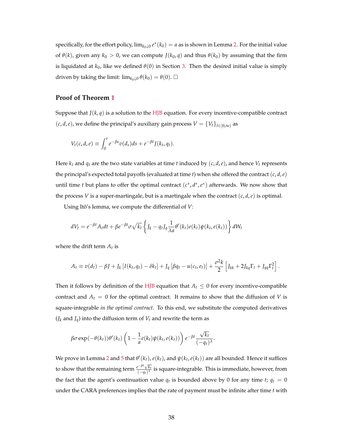specifically, for the effort policy,  $\lim_{k_0 \downarrow 0} e^*(k_0) = a$  as is shown in Lemma 2. For the initial value of  $\theta(k)$ , given any  $k_0 > 0$ , we can compute  $J(k_0, q)$  and thus  $\theta(k_0)$  by assuming that the firm is liquidated at  $k_0$ , like we defined  $\theta(0)$  in Section 3. Then the desired initial value is simply driven by taking the limit:  $\lim_{k \to 0} \theta(k_0) = \theta(0)$ .  $\Box$ 

#### **Proof of Theorem 1**

Suppose that  $J(k, q)$  is a solution to the HJB equation. For every incentive-compatible contract  $(c, d, e)$ , we define the principal's auxiliary gain process  $V = \{V_t\}_{t \in [0,\infty)}$  as

$$
V_t(c,d,e) \equiv \int_0^t e^{-\beta s} v(d_s) ds + e^{-\beta t} J(k_t, q_t).
$$

Here  $k_t$  and  $q_t$  are the two state variables at time *t* induced by  $(c, d, e)$ , and hence  $V_t$  represents the principal's expected total payoffs (evaluated at time *t*) when she offered the contract  $(c, d, e)$ until time *t* but plans to offer the optimal contract  $(c^*, d^*, e^*)$  afterwards. We now show that the process *V* is a super-martingale, but is a martingale when the contract  $(c, d, e)$  is optimal.

Using Itô's lemma, we compute the differential of  $V$ :

$$
dV_t = e^{-\beta t} A_t dt + \beta e^{-\beta t} \sigma \sqrt{k_t} \left\{ J_k - q_t J_q \frac{1}{\lambda a} \theta'(k_t) e(k_t) \psi(k_t, e(k_t)) \right\} dW_t
$$

where the drift term *At* is

$$
A_t \equiv v(d_t) - \beta J + J_k \left[ I(k_t, q_t) - \delta k_t \right] + J_q \left[ \beta q_t - u(c_t, e_t) \right] + \frac{\sigma^2 k}{2} \left[ J_{kk} + 2 J_{kq} \Gamma_t + J_{qq} \Gamma_t^2 \right].
$$

Then it follows by definition of the HJB equation that  $A_t \leq 0$  for every incentive-compatible contract and  $A_t = 0$  for the optimal contract. It remains to show that the diffusion of *V* is square-integrable *in the optimal contract*. To this end, we substitute the computed derivatives  $(J_k$  and  $J_q$ ) into the diffusion term of  $V_t$  and rewrite the term as

$$
\beta \sigma \exp(-\theta(k_t)) \theta'(k_t) \left(1 - \frac{1}{a} e(k_t) \psi(k_t, e(k_t))\right) e^{-\beta t} \frac{\sqrt{k_t}}{(-q_t)^{\lambda}}.
$$

We prove in Lemma 2 and 5 that  $θ'(k_t)$ ,  $e(k_t)$ , and  $ψ(k_t,e(k_t))$  are all bounded. Hence it suffices to show that the remaining term  $\frac{e^{-\beta t}\sqrt{k_t}}{(-a)^{\lambda}}$  $\frac{1}{(1-q_t)^{\lambda}}$  is square-integrable. This is immediate, however, from the fact that the agent's continuation value  $q_t$  is bounded above by 0 for any time *t*;  $q_t = 0$ under the CARA preferences implies that the rate of payment must be infinite after time *t* with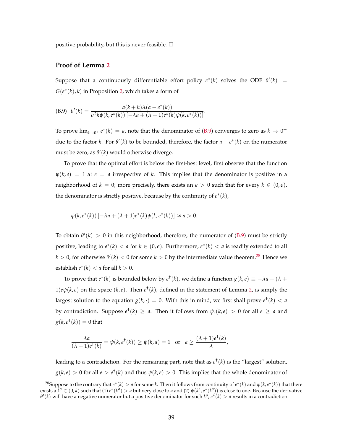positive probability, but this is never feasible.  $\square$ 

#### **Proof of Lemma 2**

Suppose that a continuously differentiable effort policy  $e^*(k)$  solves the ODE  $\theta'(k)$  = *G*(*e* ∗ (*k*), *k*) in Proposition 2, which takes a form of

.

(B.9) 
$$
\theta'(k) = \frac{a(k+h)\lambda(a - e^{*}(k))}{\sigma^{2}k\psi(k, e^{*}(k)) [-\lambda a + (\lambda + 1)e^{*}(k)\psi(k, e^{*}(k))]}
$$

To prove  $\lim_{k\to 0^+} e^*(k) = a$ , note that the denominator of (B.9) converges to zero as  $k \to 0^+$ due to the factor *k*. For  $\theta'(k)$  to be bounded, therefore, the factor  $a - e^*(k)$  on the numerator must be zero, as  $\theta'(k)$  would otherwise diverge.

To prove that the optimal effort is below the first-best level, first observe that the function  $\psi(k,e) = 1$  at  $e = a$  irrespective of *k*. This implies that the denominator is positive in a neighborhood of  $k = 0$ ; more precisely, there exists an  $\epsilon > 0$  such that for every  $k \in (0, \epsilon)$ , the denominator is strictly positive, because by the continuity of  $e^*(k)$ ,

$$
\psi(k,e^*(k))\left[-\lambda a+(\lambda+1)e^*(k)\psi(k,e^*(k))\right]\approx a>0.
$$

To obtain  $\theta'(k) > 0$  in this neighborhood, therefore, the numerator of (B.9) must be strictly positive, leading to  $e^*(k) < a$  for  $k \in (0, \epsilon)$ . Furthermore,  $e^*(k) < a$  is readily extended to all  $k > 0$ , for otherwise  $\theta'(k) < 0$  for some  $k > 0$  by the intermediate value theorem.<sup>28</sup> Hence we establish  $e^*(k) < a$  for all  $k > 0$ .

To prove that  $e^*(k)$  is bounded below by  $e^{\dagger}(k)$ , we define a function  $g(k,e) \equiv -\lambda a + (\lambda +$  $1$ ) $e\psi(k,e)$  on the space  $(k,e)$ . Then  $e^{\dagger}(k)$ , defined in the statement of Lemma 2, is simply the largest solution to the equation  $g(k, \cdot) = 0$ . With this in mind, we first shall prove  $e^{\dagger}(k) < a$ by contradiction. Suppose  $e^{\dagger}(k) \geq a$ . Then it follows from  $\psi_e(k,e) > 0$  for all  $e \geq a$  and  $g(k,e^{\dagger}(k))=0$  that

$$
\frac{\lambda a}{(\lambda+1)e^{\dagger}(k)}=\psi(k,e^{\dagger}(k))\geq \psi(k,a)=1 \text{ or } a\geq \frac{(\lambda+1)e^{\dagger}(k)}{\lambda},
$$

leading to a contradiction. For the remaining part, note that as *e* † (*k*) is the "largest" solution,  $g(k,e) > 0$  for all  $e > e^{\dagger}(k)$  and thus  $\psi(k,e) > 0$ . This implies that the whole denominator of

<sup>&</sup>lt;sup>28</sup>Suppose to the contrary that  $e^*(k) > a$  for some *k*. Then it follows from continuity of  $e^*(k)$  and  $\psi(k, e^*(k))$  that there exists a  $\hat{k}^o \in (0,k)$  such that  $(1) e^*(k^o) > a$  but very close to a and  $(2) \psi(k^o, e^*(k^o))$  is close to one. Because the derivative *θ'*(*k*) will have a negative numerator but a positive denominator for such  $k^o$ ,  $e^*(k) > a$  results in a contradiction.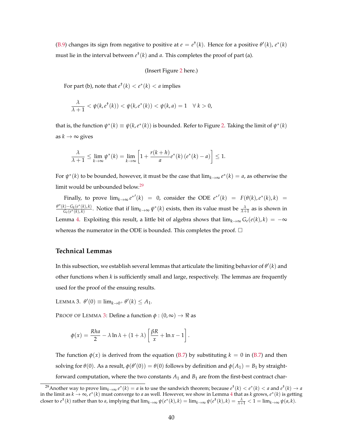(B.9) changes its sign from negative to positive at  $e = e^{\dagger}(k)$ . Hence for a positive  $\theta'(k)$ ,  $e^*(k)$ must lie in the interval between  $e^{\dagger}(k)$  and *a*. This completes the proof of part (a).

#### (Insert Figure 2 here.)

For part (b), note that  $e^{\dagger}(k) < e^*(k) < a$  implies

$$
\frac{\lambda}{\lambda+1} < \psi(k, e^{\dagger}(k)) < \psi(k, e^*(k)) < \psi(k, a) = 1 \quad \forall \, k > 0,
$$

that is, the function  $\psi^*(k) \equiv \psi(k, e^*(k))$  is bounded. Refer to Figure 2. Taking the limit of  $\psi^*(k)$ as  $k \to \infty$  gives

$$
\frac{\lambda}{\lambda+1} \leq \lim_{k \to \infty} \psi^*(k) = \lim_{k \to \infty} \left[ 1 + \frac{r(k+h)}{a} e^*(k) \left( e^*(k) - a \right) \right] \leq 1.
$$

For  $\psi^*(k)$  to be bounded, however, it must be the case that  $\lim_{k\to\infty}e^*(k)=a$ , as otherwise the limit would be unbounded below.<sup>29</sup>

Finally, to prove  $\lim_{k\to\infty}e^{*'}(k) = 0$ , consider the ODE  $e^{*'}(k) = F(\theta(k), e^*(k), k) = 0$  $\frac{\theta''(k)-G_k(e^*(k),k)}{k}$  $\frac{G_e(e^*(k), k)}{G_e(e^*(k), k)}$ . Notice that if  $\lim_{k\to\infty}\psi^*(k)$  exists, then its value must be  $\frac{\lambda}{\lambda+1}$  as is shown in Lemma 4. Exploiting this result, a little bit of algebra shows that  $\lim_{k\to\infty} G_e(e(k), k) = -\infty$ whereas the numerator in the ODE is bounded. This completes the proof.  $\Box$ 

## **Technical Lemmas**

In this subsection, we establish several lemmas that articulate the limiting behavior of  $\theta'(k)$  and other functions when *k* is sufficiently small and large, respectively. The lemmas are frequently used for the proof of the ensuing results.

LEMMA 3.  $\theta'(0) \equiv \lim_{k \to 0^+} \theta'(k) \leq A_1$ .

PROOF OF LEMMA 3: Define a function  $\phi$  :  $(0, \infty) \rightarrow \Re$  as

$$
\phi(x) = \frac{Rha}{2} - \lambda \ln \lambda + (1 + \lambda) \left[ \frac{\beta R}{x} + \ln x - 1 \right].
$$

The function  $\phi(x)$  is derived from the equation (B.7) by substituting  $k = 0$  in (B.7) and then solving for  $\theta(0)$ . As a result,  $\phi(\theta'(0)) = \theta(0)$  follows by definition and  $\phi(A_1) = B_1$  by straightforward computation, where the two constants  $A_1$  and  $B_1$  are from the first-best contract char-

<sup>&</sup>lt;sup>29</sup>Another way to prove  $\lim_{k\to\infty}e^*(k) = a$  is to use the sandwich theorem; because  $e^{\dagger}(k) < e^*(k) < a$  and  $e^{\dagger}(k) \to a$ in the limit as  $k \to \infty$ ,  $e^*(k)$  must converge to *a* as well. However, we show in Lemma 4 that as *k* grows,  $e^*(k)$  is getting closer to  $e^{\dagger}(k)$  rather than to a, implying that  $\lim_{k\to\infty}\psi(e^*(k),k) = \lim_{k\to\infty}\psi(e^{\dagger}(k),k) = \frac{\lambda}{\lambda+1} < 1 = \lim_{k\to\infty}\psi(a,k)$ .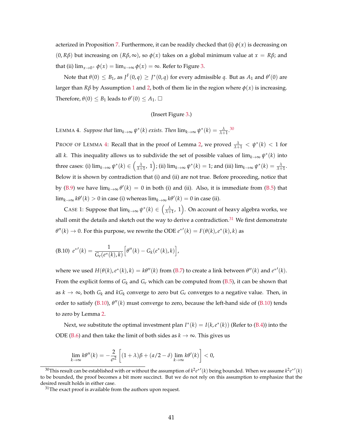acterized in Proposition 7. Furthermore, it can be readily checked that (i)  $\phi(x)$  is decreasing on (0, *Rβ*) but increasing on (*Rβ*, ∞), so *φ*(*x*) takes on a global minimum value at *x* = *Rβ*; and that (ii)  $\lim_{x\to 0^+} \phi(x) = \lim_{x\to \infty} \phi(x) = \infty$ . Refer to Figure 3.

Note that  $\theta(0) \leq B_1$ , as  $J^F(0,q) \geq J^*(0,q)$  for every admissible *q*. But as  $A_1$  and  $\theta'(0)$  are larger than *Rβ* by Assumption 1 and 2, both of them lie in the region where *φ*(*x*) is increasing. Therefore,  $\theta(0) \leq B_1$  leads to  $\theta'(0) \leq A_1$ .  $\Box$ 

#### (Insert Figure 3.)

LEMMA 4. *Suppose that*  $\lim_{k\to\infty} \psi^*(k)$  *exists. Then*  $\lim_{k\to\infty} \psi^*(k) = \frac{\lambda}{\lambda+1}$ .<sup>30</sup>

PROOF OF LEMMA 4: Recall that in the proof of Lemma 2, we proved  $\frac{\lambda}{\lambda+1} < \psi^*(k) < 1$  for all *k*. This inequality allows us to subdivide the set of possible values of  $\lim_{k\to\infty} \psi^*(k)$  into three cases: (i)  $\lim_{k\to\infty} \psi^*(k) \in \left(\frac{\lambda}{\lambda+1}, 1\right)$ ; (ii)  $\lim_{k\to\infty} \psi^*(k) = 1$ ; and (iii)  $\lim_{k\to\infty} \psi^*(k) = \frac{\lambda}{\lambda+1}$ . Below it is shown by contradiction that (i) and (ii) are not true. Before proceeding, notice that by (B.9) we have  $\lim_{k\to\infty}$   $\theta'(k) = 0$  in both (i) and (ii). Also, it is immediate from (B.5) that  $\lim_{k\to\infty} k\theta'(k) > 0$  in case (i) whereas  $\lim_{k\to\infty} k\theta'(k) = 0$  in case (ii).

CASE 1: Suppose that  $\lim_{k\to\infty}\psi^*(k)\in\left(\frac{\lambda}{\lambda+1},\ 1\right)$ . On account of heavy algebra works, we shall omit the details and sketch out the way to derive a contradiction.<sup>31</sup> We first demonstrate *θ*''(*k*) → 0. For this purpose, we rewrite the ODE  $e^{*'}(k) = F(\theta(k), e^{*}(k), k)$  as

(B.10) 
$$
e^{*'}(k) = \frac{1}{G_e(e^*(k),k)} \left[ \theta''(k) - G_k(e^*(k),k) \right],
$$

where we used  $H(\theta(k), e^*(k), k) = k\theta''(k)$  from (B.7) to create a link between  $\theta''(k)$  and  $e^{*\prime}(k)$ . From the explicit forms of *G<sup>k</sup>* and *G<sup>e</sup>* which can be computed from (B.5), it can be shown that as  $k \to \infty$ , both  $G_k$  and  $kG_k$  converge to zero but  $G_e$  converges to a negative value. Then, in order to satisfy (B.10), *θ* ′′(*k*) must converge to zero, because the left-hand side of (B.10) tends to zero by Lemma 2.

Next, we substitute the optimal investment plan  $I^*(k) = I(k, e^*(k))$  (Refer to (B.4)) into the ODE (B.6) and then take the limit of both sides as  $k \to \infty$ . This gives us

$$
\lim_{k \to \infty} k\theta''(k) = -\frac{2}{\sigma^2} \left[ (1+\lambda)\beta + (a/2 - \delta) \lim_{k \to \infty} k\theta'(k) \right] < 0,
$$

 $^{30}$ This result can be established with or without the assumption of  $k^2e^{*'}(k)$  being bounded. When we assume  $k^2e^{*'}(k)$ to be bounded, the proof becomes a bit more succinct. But we do not rely on this assumption to emphasize that the desired result holds in either case.

<sup>&</sup>lt;sup>31</sup>The exact proof is available from the authors upon request.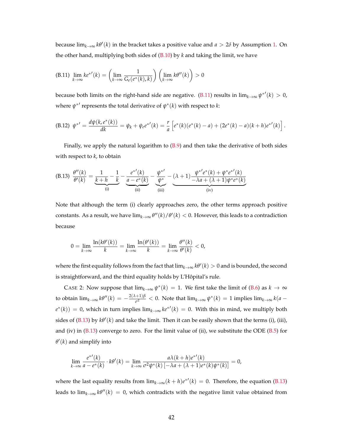because lim*k*→<sup>∞</sup> *kθ* ′ (*k*) in the bracket takes a positive value and *a* > 2*δ* by Assumption 1. On the other hand, multiplying both sides of (B.10) by *k* and taking the limit, we have

(B.11) 
$$
\lim_{k \to \infty} k e^{*'}(k) = \left( \lim_{k \to \infty} \frac{1}{G_e(e^*(k), k)} \right) \left( \lim_{k \to \infty} k \theta''(k) \right) > 0
$$

because both limits on the right-hand side are negative. (B.11) results in  $\lim_{k\to\infty} \psi^{*'}(k) > 0$ , where  $\psi^{*'}$  represents the total derivative of  $\psi^{*}(k)$  with respect to *k*:

(B.12) 
$$
\psi^{*'} = \frac{d\psi(k, e^*(k))}{dk} = \psi_k + \psi_e e^{*'}(k) = \frac{r}{a} \left[ e^*(k)(e^*(k) - a) + (2e^*(k) - a)(k + h)e^{*'}(k) \right].
$$

Finally, we apply the natural logarithm to  $(B.9)$  and then take the derivative of both sides with respect to *k*, to obtain

(B.13) 
$$
\frac{\theta''(k)}{\theta'(k)} = \underbrace{\frac{1}{k+h} - \frac{1}{k}}_{(i)} - \underbrace{\frac{e^{*'}(k)}{a - e^{*}(k)}}_{(ii)} - \underbrace{\frac{\psi^{*'}}{\psi^{*}}}_{(iii)} - \underbrace{(\lambda+1)\frac{\psi^{*'}e^{*}(k)+\psi^{*}e^{*'}(k)}_{(iv)}}
$$

Note that although the term (i) clearly approaches zero, the other terms approach positive constants. As a result, we have  $\lim_{k\to\infty} \theta''(k)/\theta'(k) < 0$ . However, this leads to a contradiction because

$$
0=\lim_{k\to\infty}\frac{\ln(k\theta'(k))}{k}=\lim_{k\to\infty}\frac{\ln(\theta'(k))}{k}=\lim_{k\to\infty}\frac{\theta''(k)}{\theta'(k)}<0,
$$

where the first equality follows from the fact that  $\lim_{k\to\infty} k\theta'(k) > 0$  and is bounded, the second is straightforward, and the third equality holds by L'Hôpital's rule.

CASE 2: Now suppose that  $\lim_{k\to\infty} \psi^*(k) = 1$ . We first take the limit of (B.6) as  $k \to \infty$ to obtain  $\lim_{k\to\infty} k\theta''(k) = -\frac{2(\lambda+1)\beta}{\sigma^2}$  $\frac{(-1)^{n+1}}{σ^{2}}$  < 0. Note that  $\lim_{k\to\infty}$   $\psi^*(k) = 1$  implies  $\lim_{k\to\infty}$   $k(a (e^*(k)) = 0$ , which in turn implies  $\lim_{k \to \infty} k e^{*t}$   $(k) = 0$ . With this in mind, we multiply both sides of  $(B.13)$  by  $k\theta'(k)$  and take the limit. Then it can be easily shown that the terms (i), (iii), and (iv) in  $(B.13)$  converge to zero. For the limit value of (ii), we substitute the ODE  $(B.5)$  for *θ* ′ (*k*) and simplify into

$$
\lim_{k\to\infty}\frac{e^{*'}(k)}{a-e^*(k)}\cdot k\theta'(k)=\lim_{k\to\infty}\frac{a\lambda(k+h)e^{*'}(k)}{\sigma^2\psi^*(k)\left[-\lambda a+(\lambda+1)e^*(k)\psi^*(k)\right]}=0,
$$

where the last equality results from  $\lim_{k\to\infty} (k+h)e^{*t}(k) = 0$ . Therefore, the equation (B.13) leads to  $\lim_{k\to\infty} k\theta''(k) = 0$ , which contradicts with the negative limit value obtained from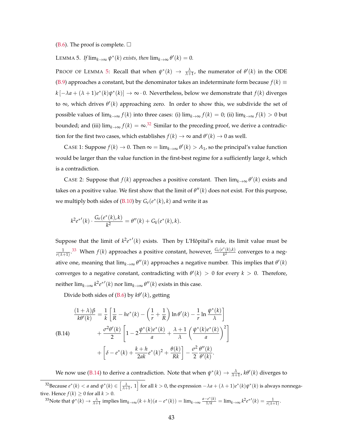(B.6). The proof is complete.  $\Box$ 

LEMMA 5. If  $\lim_{k\to\infty} \psi^*(k)$  exists, then  $\lim_{k\to\infty} \theta'(k) = 0$ .

PROOF OF LEMMA 5: Recall that when  $\psi^*(k) \to \frac{\lambda}{\lambda+1}$ , the numerator of  $\theta'(k)$  in the ODE (B.9) approaches a constant, but the denominator takes an indeterminate form because  $f(k) \equiv$  $k\left[-\lambda a + (\lambda + 1)e^*(k)\psi^*(k)\right] \to \infty \cdot 0$ . Nevertheless, below we demonstrate that  $f(k)$  diverges to ∞, which drives *θ* ′ (*k*) approaching zero. In order to show this, we subdivide the set of possible values of  $\lim_{k\to\infty} f(k)$  into three cases: (i)  $\lim_{k\to\infty} f(k) = 0$ ; (ii)  $\lim_{k\to\infty} f(k) > 0$  but bounded; and (iii)  $\lim_{k\to\infty} f(k) = \infty$ .<sup>32</sup> Similar to the preceding proof, we derive a contradiction for the first two cases, which establishes  $f(k) \to \infty$  and  $\theta'(k) \to 0$  as well.

CASE 1: Suppose  $f(k) \to 0$ . Then  $\infty = \lim_{k \to \infty} \theta'(k) > A_1$ , so the principal's value function would be larger than the value function in the first-best regime for a sufficiently large *k*, which is a contradiction.

CASE 2: Suppose that  $f(k)$  approaches a positive constant. Then  $\lim_{k\to\infty}\theta'(k)$  exists and takes on a positive value. We first show that the limit of *θ* ′′(*k*) does not exist. For this purpose, we multiply both sides of (B.10) by  $G_e(e^*(k),k)$  and write it as

$$
k^{2}e^{*'}(k)\cdot \frac{G_{e}(e^{*}(k),k)}{k^{2}} = \theta''(k) + G_{k}(e^{*}(k),k).
$$

Suppose that the limit of  $k^2e^{*\prime}(k)$  exists. Then by L'Hôpital's rule, its limit value must be  $\frac{1}{r(\lambda+1)}$ .<sup>33</sup> When  $f(k)$  approaches a positive constant, however,  $\frac{G_e(e^*(k),k)}{k^2}$  $\frac{(\kappa) \kappa}{k^2}$  converges to a negative one, meaning that  $\lim_{k\to\infty}$  *θ*"(*k*) approaches a negative number. This implies that  $\theta'(k)$ converges to a negative constant, contradicting with  $\theta'(k) > 0$  for every  $k > 0$ . Therefore, neither  $\lim_{k\to\infty} k^2 e^{*'}(k)$  nor  $\lim_{k\to\infty} \theta''(k)$  exists in this case.

Divide both sides of (B.6) by *kθ* ′ (*k*), getting

$$
\frac{(1+\lambda)\beta}{k\theta'(k)} = \frac{1}{k} \left[ \frac{1}{R} - h e^*(k) - \left( \frac{1}{r} + \frac{1}{R} \right) \ln \theta'(k) - \frac{1}{r} \ln \frac{\psi^*(k)}{\lambda} \right]
$$
\n(B.14) 
$$
+ \frac{\sigma^2 \theta'(k)}{2} \left[ 1 - 2 \frac{\psi^*(k)e^*(k)}{a} + \frac{\lambda + 1}{\lambda} \left( \frac{\psi^*(k)e^*(k)}{a} \right)^2 \right]
$$
\n
$$
+ \left[ \delta - e^*(k) + \frac{k+h}{2ak} e^*(k)^2 + \frac{\theta(k)}{Rk} \right] - \frac{\sigma^2}{2} \frac{\theta''(k)}{\theta'(k)}.
$$

We now use (B.14) to derive a contradiction. Note that when  $\psi^*(k) \to \frac{\lambda}{\lambda+1}$ ,  $k\theta'(k)$  diverges to <sup>32</sup>Because  $e^*(k) < a$  and  $\psi^*(k) \in \left[\frac{\lambda}{\lambda+1}, 1\right]$  for all  $k > 0$ , the expression  $-\lambda a + (\lambda+1)e^*(k)\psi^*(k)$  is always nonnegative. Hence  $f(k) \geq 0$  for all  $k > 0$ .

$$
^{33}\text{Note that }\psi^*(k)\to\frac{\lambda}{\lambda+1}\text{ implies }\lim_{k\to\infty}(k+h)(a-e^*(k))=\lim_{k\to\infty}\frac{a-e^*(k)}{1/k}=\lim_{k\to\infty}k^2e^{*}(k)=\frac{1}{r(\lambda+1)}.
$$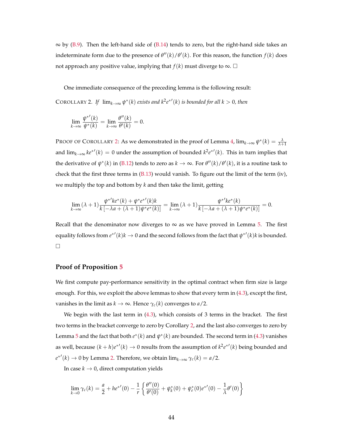$\infty$  by (B.9). Then the left-hand side of (B.14) tends to zero, but the right-hand side takes an indeterminate form due to the presence of  $\theta''(k)/\theta'(k)$ . For this reason, the function  $f(k)$  does not approach any positive value, implying that  $f(k)$  must diverge to  $\infty$ .  $\square$ 

One immediate consequence of the preceding lemma is the following result: COROLLARY 2. If  $\lim_{k\to\infty} \psi^*(k)$  exists and  $k^2 e^{*'}(k)$  is bounded for all  $k > 0$ , then

$$
\lim_{k \to \infty} \frac{\psi^{*'}(k)}{\psi^*(k)} = \lim_{k \to \infty} \frac{\theta''(k)}{\theta'(k)} = 0.
$$

PROOF OF COROLLARY 2: As we demonstrated in the proof of Lemma 4,  $\lim_{k\to\infty}\psi^*(k) = \frac{\lambda}{\lambda+1}$ and  $\lim_{k\to\infty} ke^{*'}(k) = 0$  under the assumption of bounded  $k^2 e^{*'}(k)$ . This in turn implies that the derivative of  $\psi^*(k)$  in (B.12) tends to zero as  $k \to \infty$ . For  $\theta''(k)/\theta'(k)$ , it is a routine task to check that the first three terms in  $(B.13)$  would vanish. To figure out the limit of the term (iv), we multiply the top and bottom by *k* and then take the limit, getting

$$
\lim_{k \to \infty} (\lambda + 1) \frac{\psi^{*} k e^{*}(k) + \psi^{*} e^{*}(k) k}{k \left[ -\lambda a + (\lambda + 1) \psi^{*} e^{*}(k) \right]} = \lim_{k \to \infty} (\lambda + 1) \frac{\psi^{*} k e^{*}(k)}{k \left[ -\lambda a + (\lambda + 1) \psi^{*} e^{*}(k) \right]} = 0.
$$

Recall that the denominator now diverges to  $\infty$  as we have proved in Lemma 5. The first equality follows from  $e^{*\prime}(k)k \to 0$  and the second follows from the fact that  $\psi^{*\prime}(k)k$  is bounded.  $\Box$ 

#### **Proof of Proposition 5**

We first compute pay-performance sensitivity in the optimal contract when firm size is large enough. For this, we exploit the above lemmas to show that every term in (4.3), except the first, vanishes in the limit as  $k \to \infty$ . Hence  $\gamma_c(k)$  converges to  $a/2$ .

We begin with the last term in (4.3), which consists of 3 terms in the bracket. The first two terms in the bracket converge to zero by Corollary 2, and the last also converges to zero by Lemma 5 and the fact that both  $e^*(k)$  and  $\psi^*(k)$  are bounded. The second term in (4.3) vanishes as well, because  $(k + h)e^{i\theta}(k) \to 0$  results from the assumption of  $k^2e^{i\theta}(k)$  being bounded and  $e^{*'}(k) \to 0$  by Lemma 2. Therefore, we obtain  $\lim_{k \to \infty} \gamma_c(k) = a/2$ .

In case  $k \to 0$ , direct computation yields

$$
\lim_{k \to 0} \gamma_c(k) = \frac{a}{2} + h e^{kt}(0) - \frac{1}{r} \left\{ \frac{\theta''(0)}{\theta'(0)} + \psi_k^*(0) + \psi_e^*(0) e^{kt}(0) - \frac{1}{\lambda} \theta'(0) \right\}
$$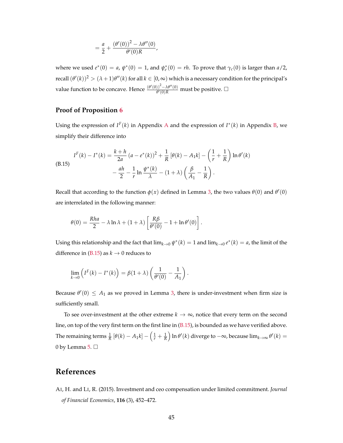$$
= \frac{a}{2} + \frac{(\theta'(0))^2 - \lambda \theta''(0)}{\theta'(0)R},
$$

where we used  $e^*(0) = a$ ,  $\psi^*(0) = 1$ , and  $\psi^*_e(0) = rh$ . To prove that  $\gamma_c(0)$  is larger than  $a/2$ , recall  $(\theta'(k))^2 > (\lambda + 1)\theta''(k)$  for all  $k \in [0, \infty)$  which is a necessary condition for the principal's value function to be concave. Hence  $\frac{(\theta'(0))^2 - \lambda \theta''(0)}{\theta'(0)R}$  must be positive. □

## **Proof of Proposition 6**

Using the expression of  $I^F(k)$  in Appendix A and the expression of  $I^*(k)$  in Appendix B, we simplify their difference into

(B.15) 
$$
I^{F}(k) - I^{*}(k) = \frac{k+h}{2a} (a - e^{*}(k))^{2} + \frac{1}{R} [\theta(k) - A_{1}k] - \left(\frac{1}{r} + \frac{1}{R}\right) \ln \theta'(k)
$$

$$
- \frac{ah}{2} - \frac{1}{r} \ln \frac{\psi^{*}(k)}{\lambda} - (1 + \lambda) \left(\frac{\beta}{A_{1}} - \frac{1}{R}\right).
$$

Recall that according to the function  $\phi(x)$  defined in Lemma 3, the two values  $\theta(0)$  and  $\theta'(0)$ are interrelated in the following manner:

$$
\theta(0) = \frac{Rha}{2} - \lambda \ln \lambda + (1 + \lambda) \left[ \frac{R\beta}{\theta'(0)} - 1 + \ln \theta'(0) \right].
$$

Using this relationship and the fact that  $\lim_{k\to 0} \psi^*(k) = 1$  and  $\lim_{k\to 0} e^*(k) = a$ , the limit of the difference in (B.15) as  $k \rightarrow 0$  reduces to

$$
\lim_{k\to 0}\left(I^F(k)-I^*(k)\right)=\beta(1+\lambda)\left(\frac{1}{\theta'(0)}-\frac{1}{A_1}\right).
$$

Because  $\theta'(0) \leq A_1$  as we proved in Lemma 3, there is under-investment when firm size is sufficiently small.

To see over-investment at the other extreme  $k \to \infty$ , notice that every term on the second line, on top of the very first term on the first line in (B.15), is bounded as we have verified above. The remaining terms  $\frac{1}{R}$   $[\theta(k) - A_1k] - \left(\frac{1}{r} + \frac{1}{R}\right)$  $\int \ln \theta'(k)$  diverge to  $-\infty$ , because  $\lim_{k\to\infty} \theta'(k) =$ 0 by Lemma 5.  $\square$ 

# **References**

AI, H. and LI, R. (2015). Investment and ceo compensation under limited commitment. *Journal of Financial Economics*, **116** (3), 452–472.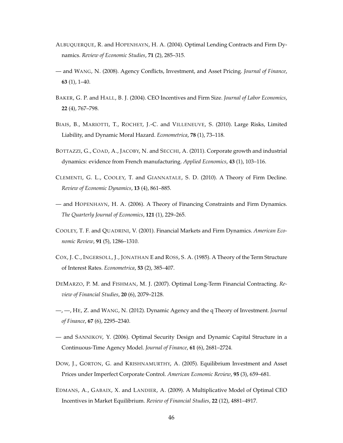- ALBUQUERQUE, R. and HOPENHAYN, H. A. (2004). Optimal Lending Contracts and Firm Dynamics. *Review of Economic Studies*, **71** (2), 285–315.
- and WANG, N. (2008). Agency Conflicts, Investment, and Asset Pricing. *Journal of Finance*, **63** (1), 1–40.
- BAKER, G. P. and HALL, B. J. (2004). CEO Incentives and Firm Size. *Journal of Labor Economics*, **22** (4), 767–798.
- BIAIS, B., MARIOTTI, T., ROCHET, J.-C. and VILLENEUVE, S. (2010). Large Risks, Limited Liability, and Dynamic Moral Hazard. *Econometrica*, **78** (1), 73–118.
- BOTTAZZI, G., COAD, A., JACOBY, N. and SECCHI, A. (2011). Corporate growth and industrial dynamics: evidence from French manufacturing. *Applied Economics*, **43** (1), 103–116.
- CLEMENTI, G. L., COOLEY, T. and GIANNATALE, S. D. (2010). A Theory of Firm Decline. *Review of Economic Dynamics*, **13** (4), 861–885.
- and HOPENHAYN, H. A. (2006). A Theory of Financing Constraints and Firm Dynamics. *The Quarterly Journal of Economics*, **121** (1), 229–265.
- COOLEY, T. F. and QUADRINI, V. (2001). Financial Markets and Firm Dynamics. *American Economic Review*, **91** (5), 1286–1310.
- COX, J. C., INGERSOLL, J., JONATHAN E and ROSS, S. A. (1985). A Theory of the Term Structure of Interest Rates. *Econometrica*, **53** (2), 385–407.
- DEMARZO, P. M. and FISHMAN, M. J. (2007). Optimal Long-Term Financial Contracting. *Review of Financial Studies*, **20** (6), 2079–2128.
- —, —, HE, Z. and WANG, N. (2012). Dynamic Agency and the q Theory of Investment. *Journal of Finance*, **67** (6), 2295–2340.
- and SANNIKOV, Y. (2006). Optimal Security Design and Dynamic Capital Structure in a Continuous-Time Agency Model. *Journal of Finance*, **61** (6), 2681–2724.
- DOW, J., GORTON, G. and KRISHNAMURTHY, A. (2005). Equilibrium Investment and Asset Prices under Imperfect Corporate Control. *American Economic Review*, **95** (3), 659–681.
- EDMANS, A., GABAIX, X. and LANDIER, A. (2009). A Multiplicative Model of Optimal CEO Incentives in Market Equilibrium. *Review of Financial Studies*, **22** (12), 4881–4917.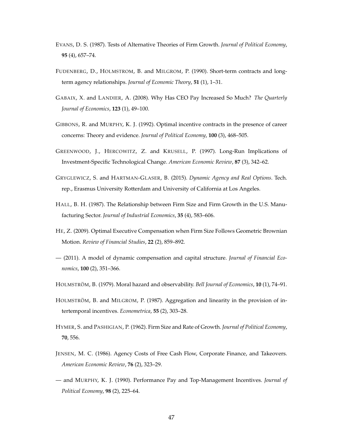- EVANS, D. S. (1987). Tests of Alternative Theories of Firm Growth. *Journal of Political Economy*, **95** (4), 657–74.
- FUDENBERG, D., HOLMSTROM, B. and MILGROM, P. (1990). Short-term contracts and longterm agency relationships. *Journal of Economic Theory*, **51** (1), 1–31.
- GABAIX, X. and LANDIER, A. (2008). Why Has CEO Pay Increased So Much? *The Quarterly Journal of Economics*, **123** (1), 49–100.
- GIBBONS, R. and MURPHY, K. J. (1992). Optimal incentive contracts in the presence of career concerns: Theory and evidence. *Journal of Political Economy*, **100** (3), 468–505.
- GREENWOOD, J., HERCOWITZ, Z. and KRUSELL, P. (1997). Long-Run Implications of Investment-Specific Technological Change. *American Economic Review*, **87** (3), 342–62.
- GRYGLEWICZ, S. and HARTMAN-GLASER, B. (2015). *Dynamic Agency and Real Options*. Tech. rep., Erasmus University Rotterdam and University of California at Los Angeles.
- HALL, B. H. (1987). The Relationship between Firm Size and Firm Growth in the U.S. Manufacturing Sector. *Journal of Industrial Economics*, **35** (4), 583–606.
- HE, Z. (2009). Optimal Executive Compensation when Firm Size Follows Geometric Brownian Motion. *Review of Financial Studies*, **22** (2), 859–892.
- (2011). A model of dynamic compensation and capital structure. *Journal of Financial Economics*, **100** (2), 351–366.
- HOLMSTRÖM, B. (1979). Moral hazard and observability. *Bell Journal of Economics*, **10** (1), 74–91.
- HOLMSTRÖM, B. and MILGROM, P. (1987). Aggregation and linearity in the provision of intertemporal incentives. *Econometrica*, **55** (2), 303–28.
- HYMER, S. and PASHIGIAN, P. (1962). Firm Size and Rate of Growth. *Journal of Political Economy*, **70**, 556.
- JENSEN, M. C. (1986). Agency Costs of Free Cash Flow, Corporate Finance, and Takeovers. *American Economic Review*, **76** (2), 323–29.
- and MURPHY, K. J. (1990). Performance Pay and Top-Management Incentives. *Journal of Political Economy*, **98** (2), 225–64.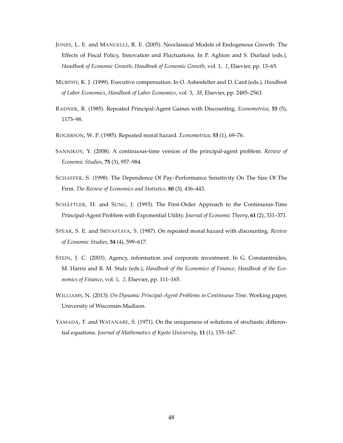- JONES, L. E. and MANUELLI, R. E. (2005). Neoclassical Models of Endogenous Growth: The Effects of Fiscal Policy, Innovation and Fluctuations. In P. Aghion and S. Durlauf (eds.), *Handbook of Economic Growth*, *Handbook of Economic Growth*, vol. 1, *1*, Elsevier, pp. 13–65.
- MURPHY, K. J. (1999). Executive compensation. In O. Ashenfelter and D. Card (eds.), *Handbook of Labor Economics*, *Handbook of Labor Economics*, vol. 3, *38*, Elsevier, pp. 2485–2563.
- RADNER, R. (1985). Repeated Principal-Agent Games with Discounting. *Econometrica*, **53** (5), 1173–98.
- ROGERSON, W. P. (1985). Repeated moral hazard. *Econometrica*, **53** (1), 69–76.
- SANNIKOV, Y. (2008). A continuous-time version of the principal-agent problem. *Review of Economic Studies*, **75** (3), 957–984.
- SCHAEFER, S. (1998). The Dependence Of Pay–Performance Sensitivity On The Size Of The Firm. *The Review of Economics and Statistics*, **80** (3), 436–443.
- SCHÄTTLER, H. and SUNG, J. (1993). The First-Order Approach to the Continuous-Time Principal-Agent Problem with Exponential Utility. *Journal of Economic Theory*, **61** (2), 331–371.
- SPEAR, S. E. and SRIVASTAVA, S. (1987). On repeated moral hazard with discounting. *Review of Economic Studies*, **54** (4), 599–617.
- STEIN, J. C. (2003). Agency, information and corporate investment. In G. Constantinides, M. Harris and R. M. Stulz (eds.), *Handbook of the Economics of Finance*, *Handbook of the Economics of Finance*, vol. 1, *2*, Elsevier, pp. 111–165.
- WILLIAMS, N. (2013). *On Dynamic Principal-Agent Problems in Continuous Time*. Working paper, University of Wisconsin-Madison.
- YAMADA, T. and WATANABE, S. (1971). On the uniqueness of solutions of stochastic differential equations. *Journal of Mathematics of Kyoto University*, **11** (1), 155–167.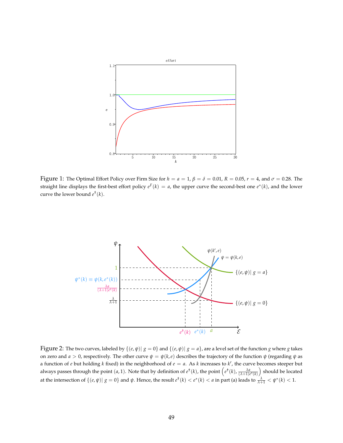

Figure 1: The Optimal Effort Policy over Firm Size for  $h = a = 1$ ,  $\beta = \delta = 0.01$ ,  $R = 0.05$ ,  $r = 4$ , and  $\sigma = 0.28$ . The straight line displays the first-best effort policy  $e^F(k) = a$ , the upper curve the second-best one  $e^*(k)$ , and the lower curve the lower bound  $e^{\dagger}(k)$ .



Figure 2: The two curves, labeled by  $\{(e, \psi) | g = 0\}$  and  $\{(e, \psi) | g = a\}$ , are a level set of the function *g* where *g* takes on zero and  $a > 0$ , respectively. The other curve  $\psi = \psi(k, e)$  describes the trajectory of the function  $\psi$  (regarding  $\psi$  as a function of *e* but holding *k* fixed) in the neighborhood of  $e = a$ . As *k* increases to *k'*, the curve becomes steeper but always passes through the point  $(a, 1)$ . Note that by definition of  $e^+(k)$ , the point  $\left(e^+(k), \frac{\lambda a}{(\lambda+1)e^+(k)}\right)$  should be located at the intersection of  $\{(e, \psi) | g = 0\}$  and  $\psi$ . Hence, the result  $e^{\dagger}(k) < e^*(k) < a$  in part (a) leads to  $\frac{\lambda}{\lambda+1} < \psi^*(k) < 1$ .